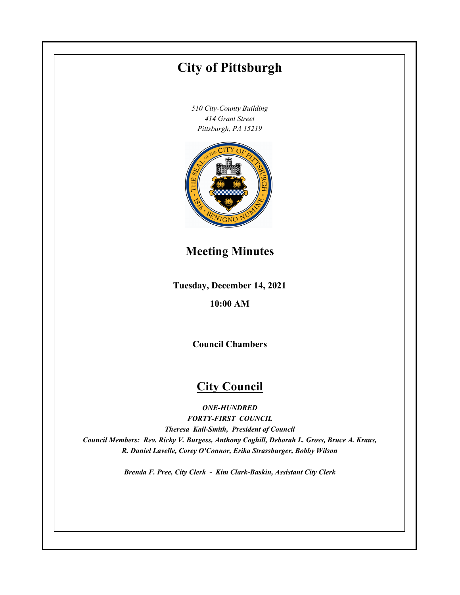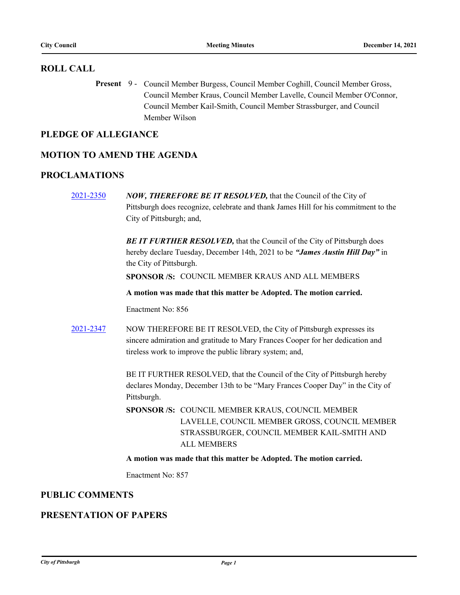### **ROLL CALL**

Present 9 - Council Member Burgess, Council Member Coghill, Council Member Gross, Council Member Kraus, Council Member Lavelle, Council Member O'Connor, Council Member Kail-Smith, Council Member Strassburger, and Council Member Wilson

### **PLEDGE OF ALLEGIANCE**

### **MOTION TO AMEND THE AGENDA**

### **PROCLAMATIONS**

[2021-2350](http://pittsburgh.legistar.com/gateway.aspx?m=l&id=/matter.aspx?key=27254) *NOW, THEREFORE BE IT RESOLVED,* that the Council of the City of Pittsburgh does recognize, celebrate and thank James Hill for his commitment to the City of Pittsburgh; and,

> **BE IT FURTHER RESOLVED, that the Council of the City of Pittsburgh does** hereby declare Tuesday, December 14th, 2021 to be *"James Austin Hill Day"* in the City of Pittsburgh.

**SPONSOR /S:** COUNCIL MEMBER KRAUS AND ALL MEMBERS

**A motion was made that this matter be Adopted. The motion carried.**

Enactment No: 856

[2021-2347](http://pittsburgh.legistar.com/gateway.aspx?m=l&id=/matter.aspx?key=27250) NOW THEREFORE BE IT RESOLVED, the City of Pittsburgh expresses its sincere admiration and gratitude to Mary Frances Cooper for her dedication and tireless work to improve the public library system; and,

> BE IT FURTHER RESOLVED, that the Council of the City of Pittsburgh hereby declares Monday, December 13th to be "Mary Frances Cooper Day" in the City of Pittsburgh.

SPONSOR /S: COUNCIL MEMBER KRAUS, COUNCIL MEMBER LAVELLE, COUNCIL MEMBER GROSS, COUNCIL MEMBER STRASSBURGER, COUNCIL MEMBER KAIL-SMITH AND ALL MEMBERS

**A motion was made that this matter be Adopted. The motion carried.**

Enactment No: 857

### **PUBLIC COMMENTS**

### **PRESENTATION OF PAPERS**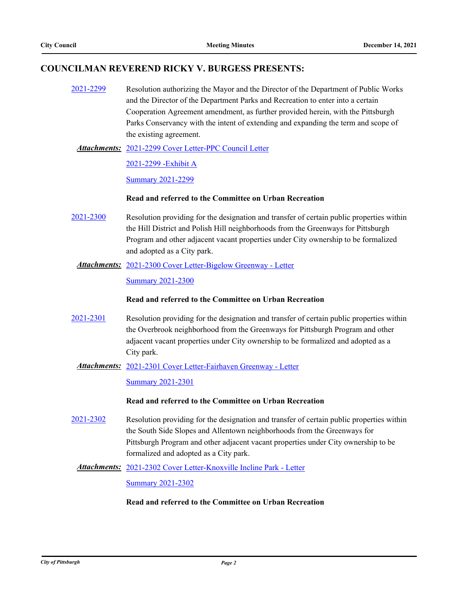### **COUNCILMAN REVEREND RICKY V. BURGESS PRESENTS:**

[2021-2299](http://pittsburgh.legistar.com/gateway.aspx?m=l&id=/matter.aspx?key=27202) Resolution authorizing the Mayor and the Director of the Department of Public Works and the Director of the Department Parks and Recreation to enter into a certain Cooperation Agreement amendment, as further provided herein, with the Pittsburgh Parks Conservancy with the intent of extending and expanding the term and scope of the existing agreement.

[2021-2299 Cover Letter-PPC Council Letter](http://pittsburgh.legistar.com/gateway.aspx?M=F&ID=e98cd70a-8461-4e01-9e13-3f179bf05291.pdf) *Attachments:*

[2021-2299 -Exhibit A](http://pittsburgh.legistar.com/gateway.aspx?M=F&ID=3aaf7540-e67a-49c9-9c34-65f19034cf52.docx)

[Summary 2021-2299](http://pittsburgh.legistar.com/gateway.aspx?M=F&ID=68b5464e-ffcb-4e50-8adb-b3c22f0885c9.docx)

#### **Read and referred to the Committee on Urban Recreation**

- [2021-2300](http://pittsburgh.legistar.com/gateway.aspx?m=l&id=/matter.aspx?key=27203) Resolution providing for the designation and transfer of certain public properties within the Hill District and Polish Hill neighborhoods from the Greenways for Pittsburgh Program and other adjacent vacant properties under City ownership to be formalized and adopted as a City park.
	- [2021-2300 Cover Letter-Bigelow Greenway Letter](http://pittsburgh.legistar.com/gateway.aspx?M=F&ID=713d0b45-7656-4329-b60a-feea9339ba1b.docx) *Attachments:*

[Summary 2021-2300](http://pittsburgh.legistar.com/gateway.aspx?M=F&ID=69ed35e8-c1ec-4b14-94c8-26e4c7823dfe.docx)

#### **Read and referred to the Committee on Urban Recreation**

[2021-2301](http://pittsburgh.legistar.com/gateway.aspx?m=l&id=/matter.aspx?key=27204) Resolution providing for the designation and transfer of certain public properties within the Overbrook neighborhood from the Greenways for Pittsburgh Program and other adjacent vacant properties under City ownership to be formalized and adopted as a City park.

#### [2021-2301 Cover Letter-Fairhaven Greenway - Letter](http://pittsburgh.legistar.com/gateway.aspx?M=F&ID=7d955c1e-5aa0-416e-a06c-6e27d2c319dc.docx) *Attachments:*

[Summary 2021-2301](http://pittsburgh.legistar.com/gateway.aspx?M=F&ID=069165f5-16b4-4989-bdda-c8c5f345dad5.docx)

#### **Read and referred to the Committee on Urban Recreation**

[2021-2302](http://pittsburgh.legistar.com/gateway.aspx?m=l&id=/matter.aspx?key=27205) Resolution providing for the designation and transfer of certain public properties within the South Side Slopes and Allentown neighborhoods from the Greenways for Pittsburgh Program and other adjacent vacant properties under City ownership to be formalized and adopted as a City park.

#### Attachments: [2021-2302 Cover Letter-Knoxville Incline Park - Letter](http://pittsburgh.legistar.com/gateway.aspx?M=F&ID=f0a6ebab-74ac-4b36-9a1c-e9200dac9c84.docx)

[Summary 2021-2302](http://pittsburgh.legistar.com/gateway.aspx?M=F&ID=3d8acdbe-6719-415f-8640-f8b96126054d.docx)

#### **Read and referred to the Committee on Urban Recreation**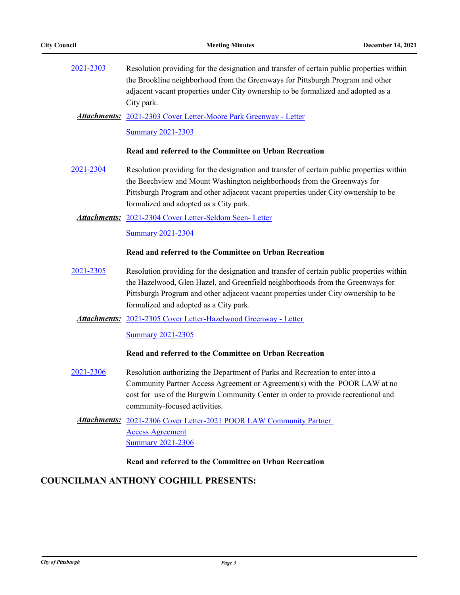| 2021-2303 | Resolution providing for the designation and transfer of certain public properties within<br>the Brookline neighborhood from the Greenways for Pittsburgh Program and other<br>adjacent vacant properties under City ownership to be formalized and adopted as a<br>City park.                              |
|-----------|-------------------------------------------------------------------------------------------------------------------------------------------------------------------------------------------------------------------------------------------------------------------------------------------------------------|
|           | Attachments: 2021-2303 Cover Letter-Moore Park Greenway - Letter                                                                                                                                                                                                                                            |
|           | <b>Summary 2021-2303</b>                                                                                                                                                                                                                                                                                    |
|           | Read and referred to the Committee on Urban Recreation                                                                                                                                                                                                                                                      |
| 2021-2304 | Resolution providing for the designation and transfer of certain public properties within<br>the Beechview and Mount Washington neighborhoods from the Greenways for<br>Pittsburgh Program and other adjacent vacant properties under City ownership to be<br>formalized and adopted as a City park.        |
|           | <b>Attachments:</b> 2021-2304 Cover Letter-Seldom Seen- Letter                                                                                                                                                                                                                                              |
|           | <b>Summary 2021-2304</b>                                                                                                                                                                                                                                                                                    |
|           | Read and referred to the Committee on Urban Recreation                                                                                                                                                                                                                                                      |
| 2021-2305 | Resolution providing for the designation and transfer of certain public properties within<br>the Hazelwood, Glen Hazel, and Greenfield neighborhoods from the Greenways for<br>Pittsburgh Program and other adjacent vacant properties under City ownership to be<br>formalized and adopted as a City park. |
|           | <b>Attachments:</b> 2021-2305 Cover Letter-Hazelwood Greenway - Letter                                                                                                                                                                                                                                      |
|           | <b>Summary 2021-2305</b>                                                                                                                                                                                                                                                                                    |
|           | Read and referred to the Committee on Urban Recreation                                                                                                                                                                                                                                                      |
| 2021-2306 | Resolution authorizing the Department of Parks and Recreation to enter into a<br>Community Partner Access Agreement or Agreement(s) with the POOR LAW at no<br>cost for use of the Burgwin Community Center in order to provide recreational and<br>community-focused activities.                           |
|           | <b>Attachments:</b> 2021-2306 Cover Letter-2021 POOR LAW Community Partner                                                                                                                                                                                                                                  |
|           | <b>Access Agreement</b><br><b>Summary 2021-2306</b>                                                                                                                                                                                                                                                         |
|           | Read and referred to the Committee on Urban Recreation                                                                                                                                                                                                                                                      |
|           | <b>COUNCILMAN ANTHONY COGHILL PRESENTS:</b>                                                                                                                                                                                                                                                                 |
|           |                                                                                                                                                                                                                                                                                                             |
|           |                                                                                                                                                                                                                                                                                                             |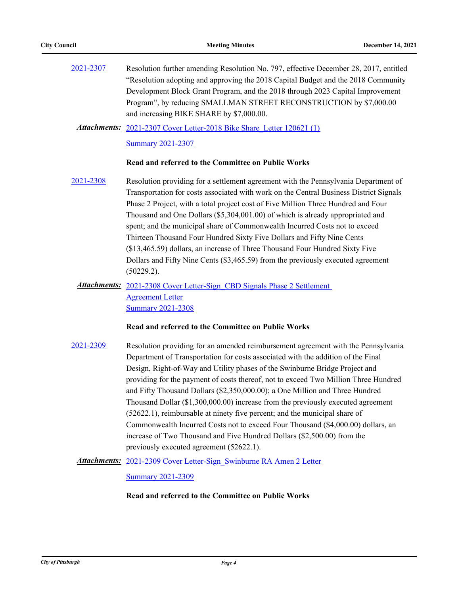[2021-2307](http://pittsburgh.legistar.com/gateway.aspx?m=l&id=/matter.aspx?key=27210) Resolution further amending Resolution No. 797, effective December 28, 2017, entitled "Resolution adopting and approving the 2018 Capital Budget and the 2018 Community Development Block Grant Program, and the 2018 through 2023 Capital Improvement Program", by reducing SMALLMAN STREET RECONSTRUCTION by \$7,000.00 and increasing BIKE SHARE by \$7,000.00.

Attachments: [2021-2307 Cover Letter-2018 Bike Share\\_Letter 120621 \(1\)](http://pittsburgh.legistar.com/gateway.aspx?M=F&ID=23f00cae-752c-4968-929b-a2b2d69f7d71.docx)

[Summary 2021-2307](http://pittsburgh.legistar.com/gateway.aspx?M=F&ID=263fdaca-d104-432f-806e-43d85ce18db7.docx)

#### **Read and referred to the Committee on Public Works**

[2021-2308](http://pittsburgh.legistar.com/gateway.aspx?m=l&id=/matter.aspx?key=27211) Resolution providing for a settlement agreement with the Pennsylvania Department of Transportation for costs associated with work on the Central Business District Signals Phase 2 Project, with a total project cost of Five Million Three Hundred and Four Thousand and One Dollars (\$5,304,001.00) of which is already appropriated and spent; and the municipal share of Commonwealth Incurred Costs not to exceed Thirteen Thousand Four Hundred Sixty Five Dollars and Fifty Nine Cents (\$13,465.59) dollars, an increase of Three Thousand Four Hundred Sixty Five Dollars and Fifty Nine Cents (\$3,465.59) from the previously executed agreement (50229.2).

### Attachments: 2021-2308 Cover Letter-Sign CBD Signals Phase 2 Settlement Agreement Letter [Summary 2021-2308](http://pittsburgh.legistar.com/gateway.aspx?M=F&ID=b06ab433-3913-4b4c-bc89-9214a325add7.docx)

#### **Read and referred to the Committee on Public Works**

- [2021-2309](http://pittsburgh.legistar.com/gateway.aspx?m=l&id=/matter.aspx?key=27212) Resolution providing for an amended reimbursement agreement with the Pennsylvania Department of Transportation for costs associated with the addition of the Final Design, Right-of-Way and Utility phases of the Swinburne Bridge Project and providing for the payment of costs thereof, not to exceed Two Million Three Hundred and Fifty Thousand Dollars (\$2,350,000.00); a One Million and Three Hundred Thousand Dollar (\$1,300,000.00) increase from the previously executed agreement (52622.1), reimbursable at ninety five percent; and the municipal share of Commonwealth Incurred Costs not to exceed Four Thousand (\$4,000.00) dollars, an increase of Two Thousand and Five Hundred Dollars (\$2,500.00) from the previously executed agreement (52622.1).
	- Attachments: 2021-2309 Cover Letter-Sign Swinburne RA Amen 2 Letter

[Summary 2021-2309](http://pittsburgh.legistar.com/gateway.aspx?M=F&ID=a8ee2f30-4c8d-4639-a2c0-b57cd8e03923.docx)

#### **Read and referred to the Committee on Public Works**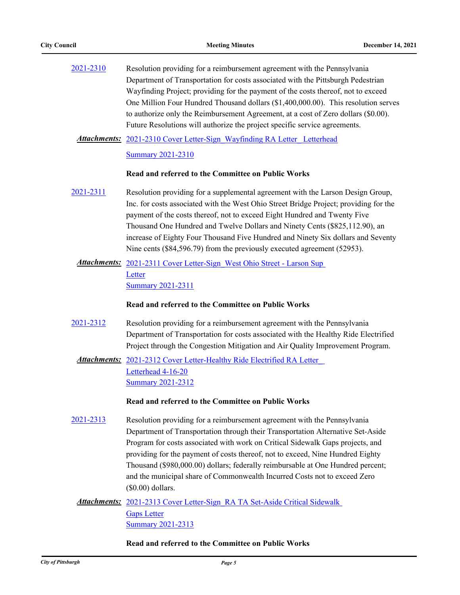| 2021-2310 | Resolution providing for a reimbursement agreement with the Pennsylvania           |  |
|-----------|------------------------------------------------------------------------------------|--|
|           | Department of Transportation for costs associated with the Pittsburgh Pedestrian   |  |
|           | Wayfinding Project; providing for the payment of the costs thereof, not to exceed  |  |
|           | One Million Four Hundred Thousand dollars (\$1,400,000.00). This resolution serves |  |
|           | to authorize only the Reimbursement Agreement, at a cost of Zero dollars (\$0.00). |  |
|           | Future Resolutions will authorize the project specific service agreements.         |  |

Attachments: 2021-2310 Cover Letter-Sign\_Wayfinding RA Letter\_Letterhead

[Summary 2021-2310](http://pittsburgh.legistar.com/gateway.aspx?M=F&ID=eb7f874c-bb49-4421-86d4-2d41dee82bb6.docx)

#### **Read and referred to the Committee on Public Works**

- [2021-2311](http://pittsburgh.legistar.com/gateway.aspx?m=l&id=/matter.aspx?key=27214) Resolution providing for a supplemental agreement with the Larson Design Group, Inc. for costs associated with the West Ohio Street Bridge Project; providing for the payment of the costs thereof, not to exceed Eight Hundred and Twenty Five Thousand One Hundred and Twelve Dollars and Ninety Cents (\$825,112.90), an increase of Eighty Four Thousand Five Hundred and Ninety Six dollars and Seventy Nine cents (\$84,596.79) from the previously executed agreement (52953).
- Attachments: 2021-2311 Cover Letter-Sign West Ohio Street Larson Sup **Letter** [Summary 2021-2311](http://pittsburgh.legistar.com/gateway.aspx?M=F&ID=67ef50b4-b8d7-4169-bbfa-7beba667768f.docx)

#### **Read and referred to the Committee on Public Works**

[2021-2312](http://pittsburgh.legistar.com/gateway.aspx?m=l&id=/matter.aspx?key=27215) Resolution providing for a reimbursement agreement with the Pennsylvania Department of Transportation for costs associated with the Healthy Ride Electrified Project through the Congestion Mitigation and Air Quality Improvement Program.

Attachments: 2021-2312 Cover Letter-Healthy Ride Electrified RA Letter Letterhead 4-16-20 [Summary 2021-2312](http://pittsburgh.legistar.com/gateway.aspx?M=F&ID=71ef550f-b7e6-4224-aa82-1e8b07936a43.docx)

#### **Read and referred to the Committee on Public Works**

[2021-2313](http://pittsburgh.legistar.com/gateway.aspx?m=l&id=/matter.aspx?key=27216) Resolution providing for a reimbursement agreement with the Pennsylvania Department of Transportation through their Transportation Alternative Set-Aside Program for costs associated with work on Critical Sidewalk Gaps projects, and providing for the payment of costs thereof, not to exceed, Nine Hundred Eighty Thousand (\$980,000.00) dollars; federally reimbursable at One Hundred percent; and the municipal share of Commonwealth Incurred Costs not to exceed Zero (\$0.00) dollars.

Attachments: 2021-2313 Cover Letter-Sign RA TA Set-Aside Critical Sidewalk Gaps Letter [Summary 2021-2313](http://pittsburgh.legistar.com/gateway.aspx?M=F&ID=d2497bf4-9774-4993-bb33-50e1739d56cc.docx)

#### **Read and referred to the Committee on Public Works**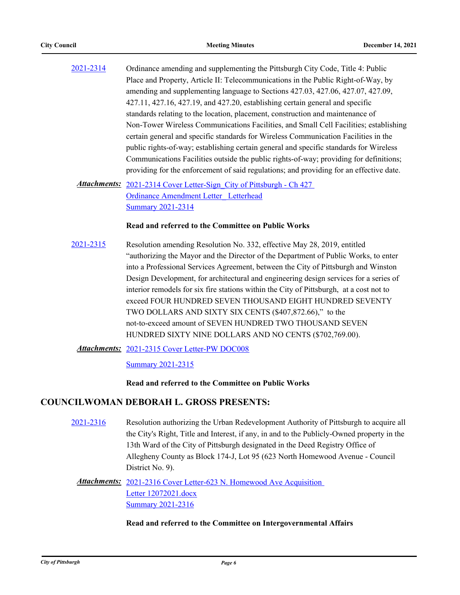- [2021-2314](http://pittsburgh.legistar.com/gateway.aspx?m=l&id=/matter.aspx?key=27217) Ordinance amending and supplementing the Pittsburgh City Code, Title 4: Public Place and Property, Article II: Telecommunications in the Public Right-of-Way, by amending and supplementing language to Sections 427.03, 427.06, 427.07, 427.09, 427.11, 427.16, 427.19, and 427.20, establishing certain general and specific standards relating to the location, placement, construction and maintenance of Non-Tower Wireless Communications Facilities, and Small Cell Facilities; establishing certain general and specific standards for Wireless Communication Facilities in the public rights-of-way; establishing certain general and specific standards for Wireless Communications Facilities outside the public rights-of-way; providing for definitions; providing for the enforcement of said regulations; and providing for an effective date.
	- Attachments: 2021-2314 Cover Letter-Sign City of Pittsburgh Ch 427 Ordinance Amendment Letter\_ Letterhead [Summary 2021-2314](http://pittsburgh.legistar.com/gateway.aspx?M=F&ID=dc400025-be3e-4732-b8ee-1f0b83cf99ac.docx)

#### **Read and referred to the Committee on Public Works**

- [2021-2315](http://pittsburgh.legistar.com/gateway.aspx?m=l&id=/matter.aspx?key=27218) Resolution amending Resolution No. 332, effective May 28, 2019, entitled "authorizing the Mayor and the Director of the Department of Public Works, to enter into a Professional Services Agreement, between the City of Pittsburgh and Winston Design Development, for architectural and engineering design services for a series of interior remodels for six fire stations within the City of Pittsburgh, at a cost not to exceed FOUR HUNDRED SEVEN THOUSAND EIGHT HUNDRED SEVENTY TWO DOLLARS AND SIXTY SIX CENTS (\$407,872.66)," to the not-to-exceed amount of SEVEN HUNDRED TWO THOUSAND SEVEN HUNDRED SIXTY NINE DOLLARS AND NO CENTS (\$702,769.00).
	- [2021-2315 Cover Letter-PW DOC008](http://pittsburgh.legistar.com/gateway.aspx?M=F&ID=e697c12a-e1ed-4bf5-8cc3-3d46b8b5dd20.PDF) *Attachments:*

[Summary 2021-2315](http://pittsburgh.legistar.com/gateway.aspx?M=F&ID=6deded91-b39a-47f9-898c-0cbc7dbf1e61.docx)

#### **Read and referred to the Committee on Public Works**

#### **COUNCILWOMAN DEBORAH L. GROSS PRESENTS:**

[2021-2316](http://pittsburgh.legistar.com/gateway.aspx?m=l&id=/matter.aspx?key=27219) Resolution authorizing the Urban Redevelopment Authority of Pittsburgh to acquire all the City's Right, Title and Interest, if any, in and to the Publicly-Owned property in the 13th Ward of the City of Pittsburgh designated in the Deed Registry Office of Allegheny County as Block 174-J, Lot 95 (623 North Homewood Avenue - Council District No. 9).

### Attachments: 2021-2316 Cover Letter-623 N. Homewood Ave Acquisition Letter 12072021.docx **[Summary 2021-2316](http://pittsburgh.legistar.com/gateway.aspx?M=F&ID=011a4782-6e33-445b-a7eb-54932884d6a2.docx)**

#### **Read and referred to the Committee on Intergovernmental Affairs**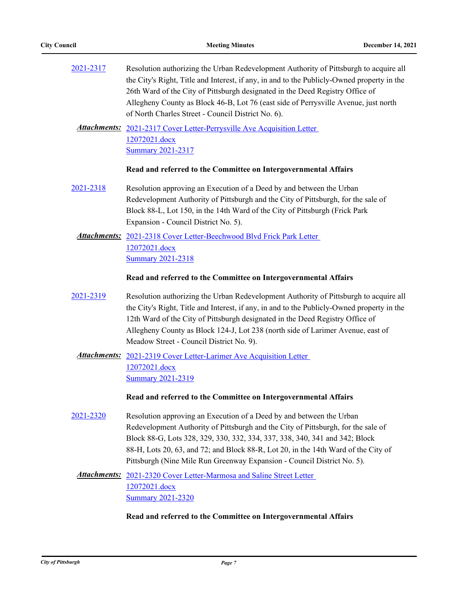| 2021-2317 | Resolution authorizing the Urban Redevelopment Authority of Pittsburgh to acquire all<br>the City's Right, Title and Interest, if any, in and to the Publicly-Owned property in the<br>26th Ward of the City of Pittsburgh designated in the Deed Registry Office of<br>Allegheny County as Block 46-B, Lot 76 (east side of Perrysville Avenue, just north<br>of North Charles Street - Council District No. 6). |  |
|-----------|-------------------------------------------------------------------------------------------------------------------------------------------------------------------------------------------------------------------------------------------------------------------------------------------------------------------------------------------------------------------------------------------------------------------|--|
|           | Attachments: 2021-2317 Cover Letter-Perrysville Ave Acquisition Letter<br>12072021.docx<br><b>Summary 2021-2317</b>                                                                                                                                                                                                                                                                                               |  |
|           | Read and referred to the Committee on Intergovernmental Affairs                                                                                                                                                                                                                                                                                                                                                   |  |
| 2021-2318 | Resolution approving an Execution of a Deed by and between the Urban<br>Redevelopment Authority of Pittsburgh and the City of Pittsburgh, for the sale of<br>Block 88-L, Lot 150, in the 14th Ward of the City of Pittsburgh (Frick Park<br>Expansion - Council District No. 5).                                                                                                                                  |  |
|           | Attachments: 2021-2318 Cover Letter-Beechwood Blvd Frick Park Letter<br>12072021.docx<br><b>Summary 2021-2318</b>                                                                                                                                                                                                                                                                                                 |  |
|           | Read and referred to the Committee on Intergovernmental Affairs                                                                                                                                                                                                                                                                                                                                                   |  |
| 2021-2319 | Resolution authorizing the Urban Redevelopment Authority of Pittsburgh to acquire all<br>the City's Right, Title and Interest, if any, in and to the Publicly-Owned property in the                                                                                                                                                                                                                               |  |
|           | 12th Ward of the City of Pittsburgh designated in the Deed Registry Office of<br>Allegheny County as Block 124-J, Lot 238 (north side of Larimer Avenue, east of<br>Meadow Street - Council District No. 9).                                                                                                                                                                                                      |  |
|           | <b>Attachments:</b> 2021-2319 Cover Letter-Larimer Ave Acquisition Letter<br>12072021.docx<br><b>Summary 2021-2319</b>                                                                                                                                                                                                                                                                                            |  |
|           | Read and referred to the Committee on Intergovernmental Affairs                                                                                                                                                                                                                                                                                                                                                   |  |
| 2021-2320 | Resolution approving an Execution of a Deed by and between the Urban<br>Redevelopment Authority of Pittsburgh and the City of Pittsburgh, for the sale of<br>Block 88-G, Lots 328, 329, 330, 332, 334, 337, 338, 340, 341 and 342; Block<br>88-H, Lots 20, 63, and 72; and Block 88-R, Lot 20, in the 14th Ward of the City of<br>Pittsburgh (Nine Mile Run Greenway Expansion - Council District No. 5).         |  |

## **Read and referred to the Committee on Intergovernmental Affairs**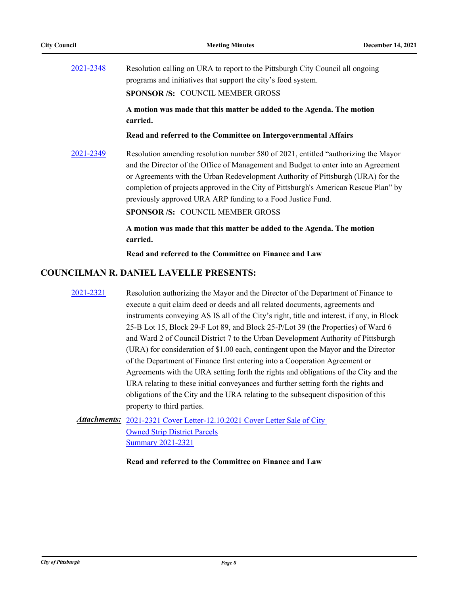| 2021-2348 | Resolution calling on URA to report to the Pittsburgh City Council all ongoing<br>programs and initiatives that support the city's food system.                                                                                                                                                                                                                                                                                                                                                 |  |
|-----------|-------------------------------------------------------------------------------------------------------------------------------------------------------------------------------------------------------------------------------------------------------------------------------------------------------------------------------------------------------------------------------------------------------------------------------------------------------------------------------------------------|--|
|           | <b>SPONSOR /S: COUNCIL MEMBER GROSS</b>                                                                                                                                                                                                                                                                                                                                                                                                                                                         |  |
|           | A motion was made that this matter be added to the Agenda. The motion<br>carried.                                                                                                                                                                                                                                                                                                                                                                                                               |  |
|           | Read and referred to the Committee on Intergovernmental Affairs                                                                                                                                                                                                                                                                                                                                                                                                                                 |  |
| 2021-2349 | Resolution amending resolution number 580 of 2021, entitled "authorizing the Mayor"<br>$1.1 \quad \mathbf{D}^1$ , $0.1 \quad \mathbf{O} \mathcal{N}$ , $0.1 \quad \mathbf{I} \mathbf{I}$ , $1 \quad \mathbf{I} \mathbf{I}$ , $1 \quad \mathbf{I} \mathbf{I}$ , $1 \quad \mathbf{I} \mathbf{I}$ , $1 \quad \mathbf{I} \mathbf{I}$ , $1 \quad \mathbf{I} \mathbf{I}$ , $1 \quad \mathbf{I} \mathbf{I}$ , $1 \quad \mathbf{I} \mathbf{I}$ , $1 \quad \mathbf{I} \mathbf{I}$ , $1 \quad \mathbf{I}$ |  |

and the Director of the Office of Management and Budget to enter into an Agreement or Agreements with the Urban Redevelopment Authority of Pittsburgh (URA) for the completion of projects approved in the City of Pittsburgh's American Rescue Plan" by previously approved URA ARP funding to a Food Justice Fund.

**SPONSOR /S:** COUNCIL MEMBER GROSS

**A motion was made that this matter be added to the Agenda. The motion carried.**

**Read and referred to the Committee on Finance and Law**

### **COUNCILMAN R. DANIEL LAVELLE PRESENTS:**

[2021-2321](http://pittsburgh.legistar.com/gateway.aspx?m=l&id=/matter.aspx?key=27224) Resolution authorizing the Mayor and the Director of the Department of Finance to execute a quit claim deed or deeds and all related documents, agreements and instruments conveying AS IS all of the City's right, title and interest, if any, in Block 25-B Lot 15, Block 29-F Lot 89, and Block 25-P/Lot 39 (the Properties) of Ward 6 and Ward 2 of Council District 7 to the Urban Development Authority of Pittsburgh (URA) for consideration of \$1.00 each, contingent upon the Mayor and the Director of the Department of Finance first entering into a Cooperation Agreement or Agreements with the URA setting forth the rights and obligations of the City and the URA relating to these initial conveyances and further setting forth the rights and obligations of the City and the URA relating to the subsequent disposition of this property to third parties.

## Attachments: 2021-2321 Cover Letter-12.10.2021 Cover Letter Sale of City Owned Strip District Parcels [Summary 2021-2321](http://pittsburgh.legistar.com/gateway.aspx?M=F&ID=e30a81f4-2b59-4426-bc09-095f43580027.docx)

**Read and referred to the Committee on Finance and Law**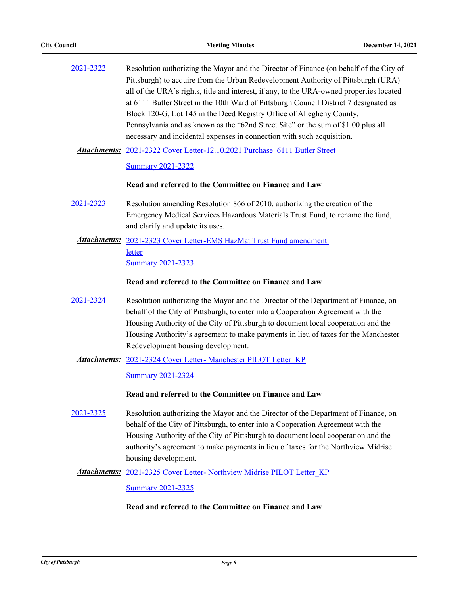| 2021-2322 | Resolution authorizing the Mayor and the Director of Finance (on behalf of the City of<br>Pittsburgh) to acquire from the Urban Redevelopment Authority of Pittsburgh (URA)<br>all of the URA's rights, title and interest, if any, to the URA-owned properties located<br>at 6111 Butler Street in the 10th Ward of Pittsburgh Council District 7 designated as<br>Block 120-G, Lot 145 in the Deed Registry Office of Allegheny County,<br>Pennsylvania and as known as the "62nd Street Site" or the sum of \$1.00 plus all<br>necessary and incidental expenses in connection with such acquisition. |
|-----------|----------------------------------------------------------------------------------------------------------------------------------------------------------------------------------------------------------------------------------------------------------------------------------------------------------------------------------------------------------------------------------------------------------------------------------------------------------------------------------------------------------------------------------------------------------------------------------------------------------|
|           | Attachments: 2021-2322 Cover Letter-12.10.2021 Purchase 6111 Butler Street                                                                                                                                                                                                                                                                                                                                                                                                                                                                                                                               |
|           | <b>Summary 2021-2322</b>                                                                                                                                                                                                                                                                                                                                                                                                                                                                                                                                                                                 |
|           | Read and referred to the Committee on Finance and Law                                                                                                                                                                                                                                                                                                                                                                                                                                                                                                                                                    |
| 2021-2323 | Resolution amending Resolution 866 of 2010, authorizing the creation of the<br>Emergency Medical Services Hazardous Materials Trust Fund, to rename the fund,<br>and clarify and update its uses.                                                                                                                                                                                                                                                                                                                                                                                                        |
|           | Attachments: 2021-2323 Cover Letter-EMS HazMat Trust Fund amendment                                                                                                                                                                                                                                                                                                                                                                                                                                                                                                                                      |
|           | letter<br><b>Summary 2021-2323</b>                                                                                                                                                                                                                                                                                                                                                                                                                                                                                                                                                                       |
|           | Read and referred to the Committee on Finance and Law                                                                                                                                                                                                                                                                                                                                                                                                                                                                                                                                                    |
| 2021-2324 | Resolution authorizing the Mayor and the Director of the Department of Finance, on                                                                                                                                                                                                                                                                                                                                                                                                                                                                                                                       |
|           | behalf of the City of Pittsburgh, to enter into a Cooperation Agreement with the<br>Housing Authority of the City of Pittsburgh to document local cooperation and the                                                                                                                                                                                                                                                                                                                                                                                                                                    |
|           | Housing Authority's agreement to make payments in lieu of taxes for the Manchester                                                                                                                                                                                                                                                                                                                                                                                                                                                                                                                       |
|           | Redevelopment housing development.<br>Attachments: 2021-2324 Cover Letter-Manchester PILOT Letter KP                                                                                                                                                                                                                                                                                                                                                                                                                                                                                                     |
|           | <b>Summary 2021-2324</b>                                                                                                                                                                                                                                                                                                                                                                                                                                                                                                                                                                                 |
|           | Read and referred to the Committee on Finance and Law                                                                                                                                                                                                                                                                                                                                                                                                                                                                                                                                                    |
|           |                                                                                                                                                                                                                                                                                                                                                                                                                                                                                                                                                                                                          |
| 2021-2325 | Resolution authorizing the Mayor and the Director of the Department of Finance, on                                                                                                                                                                                                                                                                                                                                                                                                                                                                                                                       |
|           | behalf of the City of Pittsburgh, to enter into a Cooperation Agreement with the                                                                                                                                                                                                                                                                                                                                                                                                                                                                                                                         |
|           | Housing Authority of the City of Pittsburgh to document local cooperation and the<br>authority's agreement to make payments in lieu of taxes for the Northview Midrise                                                                                                                                                                                                                                                                                                                                                                                                                                   |
|           | housing development.                                                                                                                                                                                                                                                                                                                                                                                                                                                                                                                                                                                     |
|           | <b>Attachments:</b> 2021-2325 Cover Letter- Northview Midrise PILOT Letter KP                                                                                                                                                                                                                                                                                                                                                                                                                                                                                                                            |

**[Summary 2021-2325](http://pittsburgh.legistar.com/gateway.aspx?M=F&ID=33f7edb7-1790-471e-8db7-ab31e6168cb0.docx)** 

### **Read and referred to the Committee on Finance and Law**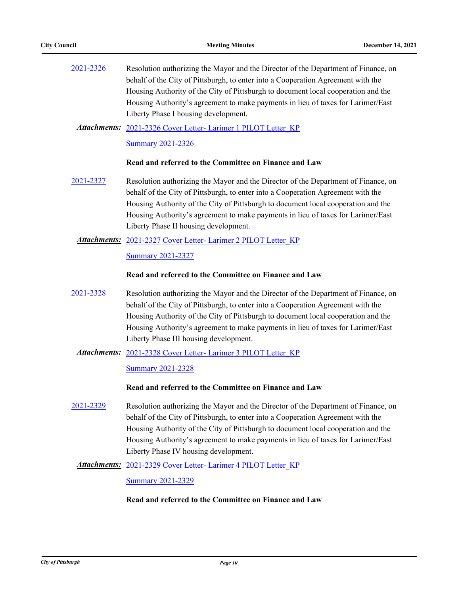| 2021-2326 | Resolution authorizing the Mayor and the Director of the Department of Finance, on |
|-----------|------------------------------------------------------------------------------------|
|           | behalf of the City of Pittsburgh, to enter into a Cooperation Agreement with the   |
|           | Housing Authority of the City of Pittsburgh to document local cooperation and the  |
|           | Housing Authority's agreement to make payments in lieu of taxes for Larimer/East   |
|           | Liberty Phase I housing development.                                               |

[2021-2326 Cover Letter- Larimer 1 PILOT Letter\\_KP](http://pittsburgh.legistar.com/gateway.aspx?M=F&ID=325723c6-2de7-4b06-9ad1-2cc8dc5a006d.docx) *Attachments:*

[Summary 2021-2326](http://pittsburgh.legistar.com/gateway.aspx?M=F&ID=e3888a4a-6232-4555-8a8a-4b9911988be5.docx)

#### **Read and referred to the Committee on Finance and Law**

[2021-2327](http://pittsburgh.legistar.com/gateway.aspx?m=l&id=/matter.aspx?key=27230) Resolution authorizing the Mayor and the Director of the Department of Finance, on behalf of the City of Pittsburgh, to enter into a Cooperation Agreement with the Housing Authority of the City of Pittsburgh to document local cooperation and the Housing Authority's agreement to make payments in lieu of taxes for Larimer/East Liberty Phase II housing development.

#### Attachments: 2021-2327 Cover Letter- Larimer 2 PILOT Letter KP

#### [Summary 2021-2327](http://pittsburgh.legistar.com/gateway.aspx?M=F&ID=8ad0bbf3-63ab-4b07-aa35-0fd1b124d0c0.docx)

#### **Read and referred to the Committee on Finance and Law**

[2021-2328](http://pittsburgh.legistar.com/gateway.aspx?m=l&id=/matter.aspx?key=27231) Resolution authorizing the Mayor and the Director of the Department of Finance, on behalf of the City of Pittsburgh, to enter into a Cooperation Agreement with the Housing Authority of the City of Pittsburgh to document local cooperation and the Housing Authority's agreement to make payments in lieu of taxes for Larimer/East Liberty Phase III housing development.

#### Attachments: 2021-2328 Cover Letter- Larimer 3 PILOT Letter KP

#### [Summary 2021-2328](http://pittsburgh.legistar.com/gateway.aspx?M=F&ID=2124a03d-4d17-4e4e-b7b3-9eb0ffacae97.docx)

#### **Read and referred to the Committee on Finance and Law**

[2021-2329](http://pittsburgh.legistar.com/gateway.aspx?m=l&id=/matter.aspx?key=27232) Resolution authorizing the Mayor and the Director of the Department of Finance, on behalf of the City of Pittsburgh, to enter into a Cooperation Agreement with the Housing Authority of the City of Pittsburgh to document local cooperation and the Housing Authority's agreement to make payments in lieu of taxes for Larimer/East Liberty Phase IV housing development.

#### Attachments: 2021-2329 Cover Letter- Larimer 4 PILOT Letter KP

[Summary 2021-2329](http://pittsburgh.legistar.com/gateway.aspx?M=F&ID=8250289d-a5a1-4c7a-984b-b76a6098d646.docx)

#### **Read and referred to the Committee on Finance and Law**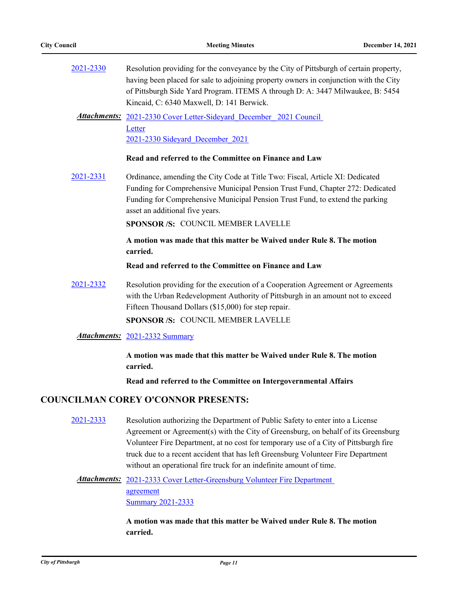| 2021-2330 | Resolution providing for the conveyance by the City of Pittsburgh of certain property,                                      |
|-----------|-----------------------------------------------------------------------------------------------------------------------------|
|           | having been placed for sale to adjoining property owners in conjunction with the City                                       |
|           | of Pittsburgh Side Yard Program. ITEMS A through D: A: 3447 Milwaukee, B: 5454<br>Kincaid, C: 6340 Maxwell, D: 141 Berwick. |
|           | Attachments: 2021-2330 Cover Letter-Sideyard_December_2021 Council                                                          |
|           | Letter                                                                                                                      |
|           | 2021-2330 Sideyard December 2021                                                                                            |
|           | Read and referred to the Committee on Finance and Law                                                                       |
| 2021-2331 | Ordinance, amending the City Code at Title Two: Fiscal, Article XI: Dedicated                                               |
|           | Funding for Comprehensive Municipal Pension Trust Fund, Chapter 272: Dedicated                                              |
|           | Funding for Comprehensive Municipal Pension Trust Fund, to extend the parking<br>asset an additional five years.            |
|           | SPONSOR /S: COUNCIL MEMBER LAVELLE                                                                                          |
|           | A motion was made that this matter be Waived under Rule 8. The motion<br>carried.                                           |
|           | Read and referred to the Committee on Finance and Law                                                                       |
| 2021-2332 | Resolution providing for the execution of a Cooperation Agreement or Agreements                                             |
|           | with the Urban Redevelopment Authority of Pittsburgh in an amount not to exceed                                             |
|           | Fifteen Thousand Dollars (\$15,000) for step repair.                                                                        |
|           | <b>SPONSOR/S: COUNCIL MEMBER LAVELLE</b>                                                                                    |
|           | Attachments: 2021-2332 Summary                                                                                              |
|           | A motion was made that this matter be Waived under Rule 8. The motion<br>carried.                                           |
|           |                                                                                                                             |

**Read and referred to the Committee on Intergovernmental Affairs**

### **COUNCILMAN COREY O'CONNOR PRESENTS:**

[2021-2333](http://pittsburgh.legistar.com/gateway.aspx?m=l&id=/matter.aspx?key=27236) Resolution authorizing the Department of Public Safety to enter into a License Agreement or Agreement(s) with the City of Greensburg, on behalf of its Greensburg Volunteer Fire Department, at no cost for temporary use of a City of Pittsburgh fire truck due to a recent accident that has left Greensburg Volunteer Fire Department without an operational fire truck for an indefinite amount of time.

## Attachments: 2021-2333 Cover Letter-Greensburg Volunteer Fire Department agreement [Summary 2021-2333](http://pittsburgh.legistar.com/gateway.aspx?M=F&ID=25b8ddbf-4892-4126-b83f-0bc9c8794d42.docx)

**A motion was made that this matter be Waived under Rule 8. The motion carried.**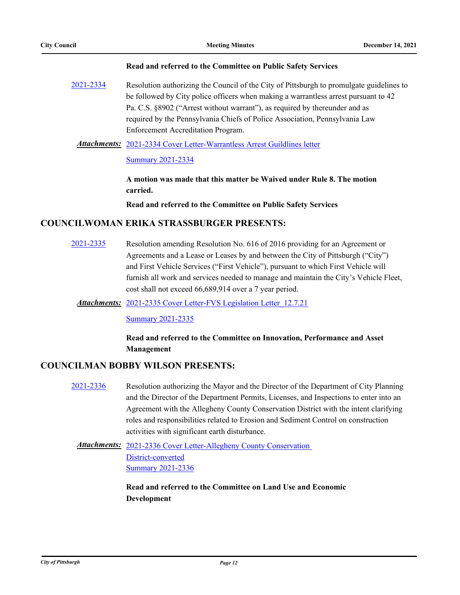#### **Read and referred to the Committee on Public Safety Services**

[2021-2334](http://pittsburgh.legistar.com/gateway.aspx?m=l&id=/matter.aspx?key=27237) Resolution authorizing the Council of the City of Pittsburgh to promulgate guidelines to be followed by City police officers when making a warrantless arrest pursuant to 42 Pa. C.S. §8902 ("Arrest without warrant"), as required by thereunder and as required by the Pennsylvania Chiefs of Police Association, Pennsylvania Law Enforcement Accreditation Program.

### Attachments: [2021-2334 Cover Letter-Warrantless Arrest Guildlines letter](http://pittsburgh.legistar.com/gateway.aspx?M=F&ID=7d357306-07c9-47b6-9e9e-9140fbbf03ba.pdf)

### [Summary 2021-2334](http://pittsburgh.legistar.com/gateway.aspx?M=F&ID=9a3f39e6-2ef9-41f2-9f43-27c3cd3fb4f9.docx)

**A motion was made that this matter be Waived under Rule 8. The motion carried.**

**Read and referred to the Committee on Public Safety Services**

### **COUNCILWOMAN ERIKA STRASSBURGER PRESENTS:**

[2021-2335](http://pittsburgh.legistar.com/gateway.aspx?m=l&id=/matter.aspx?key=27238) Resolution amending Resolution No. 616 of 2016 providing for an Agreement or Agreements and a Lease or Leases by and between the City of Pittsburgh ("City") and First Vehicle Services ("First Vehicle"), pursuant to which First Vehicle will furnish all work and services needed to manage and maintain the City's Vehicle Fleet, cost shall not exceed 66,689,914 over a 7 year period.

Attachments: [2021-2335 Cover Letter-FVS Legislation Letter\\_12.7.21](http://pittsburgh.legistar.com/gateway.aspx?M=F&ID=e6b1ad7c-3eab-42f3-bd93-8afff041c95d.docx)

**[Summary 2021-2335](http://pittsburgh.legistar.com/gateway.aspx?M=F&ID=8c3fc000-4bb0-4e99-87a2-d020ec00acc9.docx)** 

### **Read and referred to the Committee on Innovation, Performance and Asset Management**

### **COUNCILMAN BOBBY WILSON PRESENTS:**

[2021-2336](http://pittsburgh.legistar.com/gateway.aspx?m=l&id=/matter.aspx?key=27239) Resolution authorizing the Mayor and the Director of the Department of City Planning and the Director of the Department Permits, Licenses, and Inspections to enter into an Agreement with the Allegheny County Conservation District with the intent clarifying roles and responsibilities related to Erosion and Sediment Control on construction activities with significant earth disturbance.

Attachments: 2021-2336 Cover Letter-Allegheny County Conservation District-converted [Summary 2021-2336](http://pittsburgh.legistar.com/gateway.aspx?M=F&ID=af278c5e-b8f7-43f9-83cb-8fd136bbaf37.docx)

> **Read and referred to the Committee on Land Use and Economic Development**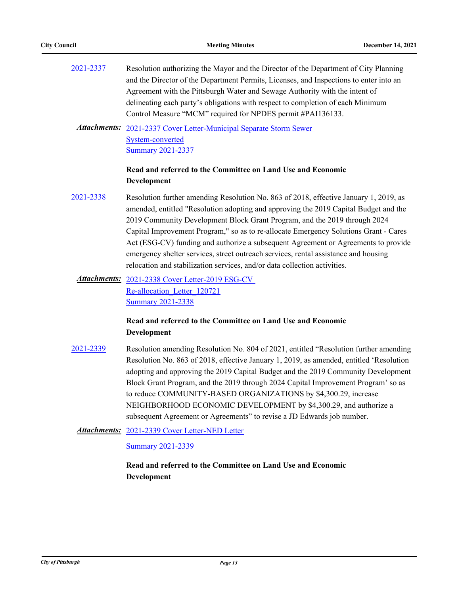| 2021-2337 | Resolution authorizing the Mayor and the Director of the Department of City Planning   |
|-----------|----------------------------------------------------------------------------------------|
|           | and the Director of the Department Permits, Licenses, and Inspections to enter into an |
|           | Agreement with the Pittsburgh Water and Sewage Authority with the intent of            |
|           | delineating each party's obligations with respect to completion of each Minimum        |
|           | Control Measure "MCM" required for NPDES permit #PAI136133.                            |

Attachments: 2021-2337 Cover Letter-Municipal Separate Storm Sewer System-converted [Summary 2021-2337](http://pittsburgh.legistar.com/gateway.aspx?M=F&ID=e401049c-70be-467f-a4b2-95781c0e3f20.docx)

### **Read and referred to the Committee on Land Use and Economic Development**

- [2021-2338](http://pittsburgh.legistar.com/gateway.aspx?m=l&id=/matter.aspx?key=27241) Resolution further amending Resolution No. 863 of 2018, effective January 1, 2019, as amended, entitled "Resolution adopting and approving the 2019 Capital Budget and the 2019 Community Development Block Grant Program, and the 2019 through 2024 Capital Improvement Program," so as to re-allocate Emergency Solutions Grant - Cares Act (ESG-CV) funding and authorize a subsequent Agreement or Agreements to provide emergency shelter services, street outreach services, rental assistance and housing relocation and stabilization services, and/or data collection activities.
	- Attachments: 2021-2338 Cover Letter-2019 ESG-CV Re-allocation\_Letter\_120721 [Summary 2021-2338](http://pittsburgh.legistar.com/gateway.aspx?M=F&ID=8ff6efd3-a14b-42f8-a730-3a2b996b5436.docx)

### **Read and referred to the Committee on Land Use and Economic Development**

[2021-2339](http://pittsburgh.legistar.com/gateway.aspx?m=l&id=/matter.aspx?key=27242) Resolution amending Resolution No. 804 of 2021, entitled "Resolution further amending Resolution No. 863 of 2018, effective January 1, 2019, as amended, entitled 'Resolution adopting and approving the 2019 Capital Budget and the 2019 Community Development Block Grant Program, and the 2019 through 2024 Capital Improvement Program' so as to reduce COMMUNITY-BASED ORGANIZATIONS by \$4,300.29, increase NEIGHBORHOOD ECONOMIC DEVELOPMENT by \$4,300.29, and authorize a subsequent Agreement or Agreements" to revise a JD Edwards job number.

Attachments: [2021-2339 Cover Letter-NED Letter](http://pittsburgh.legistar.com/gateway.aspx?M=F&ID=d5932733-8603-42cc-990d-6e8f51c9a986.docx)

[Summary 2021-2339](http://pittsburgh.legistar.com/gateway.aspx?M=F&ID=90453ebe-c14d-44a4-99a3-4fb0925bc847.docx)

**Read and referred to the Committee on Land Use and Economic Development**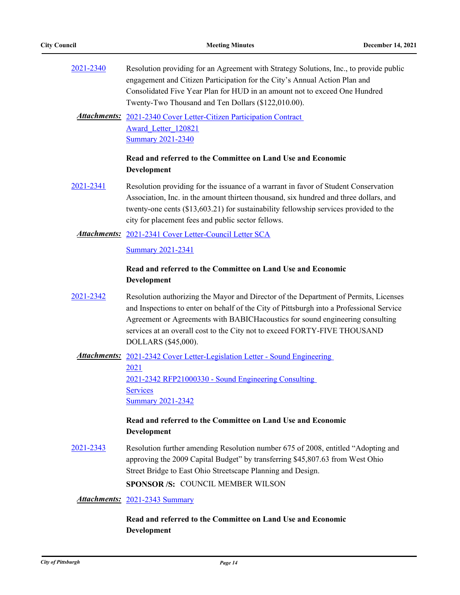| 2021-2340<br>Resolution providing for an Agreement with Strategy Solutions, Inc., to provide public |                                                                            |  |
|-----------------------------------------------------------------------------------------------------|----------------------------------------------------------------------------|--|
|                                                                                                     | engagement and Citizen Participation for the City's Annual Action Plan and |  |
|                                                                                                     | Consolidated Five Year Plan for HUD in an amount not to exceed One Hundred |  |
|                                                                                                     | Twenty-Two Thousand and Ten Dollars (\$122,010.00).                        |  |

Attachments: 2021-2340 Cover Letter-Citizen Participation Contract Award\_Letter\_120821 [Summary 2021-2340](http://pittsburgh.legistar.com/gateway.aspx?M=F&ID=a5d9f56a-e4b0-4de0-b795-387f0fb874ea.docx)

### **Read and referred to the Committee on Land Use and Economic Development**

[2021-2341](http://pittsburgh.legistar.com/gateway.aspx?m=l&id=/matter.aspx?key=27244) Resolution providing for the issuance of a warrant in favor of Student Conservation Association, Inc. in the amount thirteen thousand, six hundred and three dollars, and twenty-one cents (\$13,603.21) for sustainability fellowship services provided to the city for placement fees and public sector fellows.

#### Attachments: [2021-2341 Cover Letter-Council Letter SCA](http://pittsburgh.legistar.com/gateway.aspx?M=F&ID=feec52a2-74ae-4a8a-a6ab-15710e19802b.docx)

[Summary 2021-2341](http://pittsburgh.legistar.com/gateway.aspx?M=F&ID=b41f083c-16aa-444f-a456-9832b7289458.docx)

### **Read and referred to the Committee on Land Use and Economic Development**

[2021-2342](http://pittsburgh.legistar.com/gateway.aspx?m=l&id=/matter.aspx?key=27245) Resolution authorizing the Mayor and Director of the Department of Permits, Licenses and Inspections to enter on behalf of the City of Pittsburgh into a Professional Service Agreement or Agreements with BABICHacoustics for sound engineering consulting services at an overall cost to the City not to exceed FORTY-FIVE THOUSAND DOLLARS (\$45,000).

Attachments: 2021-2342 Cover Letter-Legislation Letter - Sound Engineering 2021 [2021-2342 RFP21000330 - Sound Engineering Consulting](http://pittsburgh.legistar.com/gateway.aspx?M=F&ID=abc28385-db09-40cb-943c-bda14ca72e24.pdf)  **Services** [Summary 2021-2342](http://pittsburgh.legistar.com/gateway.aspx?M=F&ID=45e32870-8c40-42b5-94bb-61e2d2869363.docx)

### **Read and referred to the Committee on Land Use and Economic Development**

[2021-2343](http://pittsburgh.legistar.com/gateway.aspx?m=l&id=/matter.aspx?key=27246) Resolution further amending Resolution number 675 of 2008, entitled "Adopting and approving the 2009 Capital Budget" by transferring \$45,807.63 from West Ohio Street Bridge to East Ohio Streetscape Planning and Design. **SPONSOR /S:** COUNCIL MEMBER WILSON

*Attachments:* [2021-2343 Summary](http://pittsburgh.legistar.com/gateway.aspx?M=F&ID=dca036e3-9a8d-4b08-92bc-9e31d7ee7418.docx)

**Read and referred to the Committee on Land Use and Economic Development**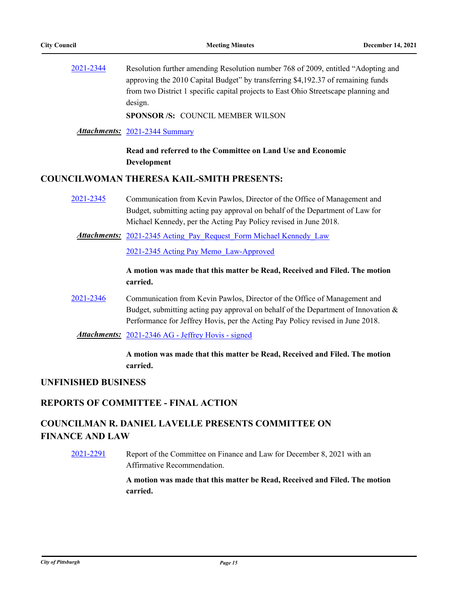[2021-2344](http://pittsburgh.legistar.com/gateway.aspx?m=l&id=/matter.aspx?key=27247) Resolution further amending Resolution number 768 of 2009, entitled "Adopting and approving the 2010 Capital Budget" by transferring \$4,192.37 of remaining funds from two District 1 specific capital projects to East Ohio Streetscape planning and design.

**SPONSOR /S:** COUNCIL MEMBER WILSON

*Attachments:* [2021-2344 Summary](http://pittsburgh.legistar.com/gateway.aspx?M=F&ID=1248e956-91df-4fbf-8b7e-c2e9afd48036.docx)

**Read and referred to the Committee on Land Use and Economic Development**

### **COUNCILWOMAN THERESA KAIL-SMITH PRESENTS:**

- [2021-2345](http://pittsburgh.legistar.com/gateway.aspx?m=l&id=/matter.aspx?key=27248) Communication from Kevin Pawlos, Director of the Office of Management and Budget, submitting acting pay approval on behalf of the Department of Law for Michael Kennedy, per the Acting Pay Policy revised in June 2018.
	- Attachments: 2021-2345 Acting Pay Request Form Michael Kennedy Law

[2021-2345 Acting Pay Memo\\_Law-Approved](http://pittsburgh.legistar.com/gateway.aspx?M=F&ID=22c9c2f7-2ea4-4154-9649-35ddbce2f663.docx)

**A motion was made that this matter be Read, Received and Filed. The motion carried.**

[2021-2346](http://pittsburgh.legistar.com/gateway.aspx?m=l&id=/matter.aspx?key=27249) Communication from Kevin Pawlos, Director of the Office of Management and Budget, submitting acting pay approval on behalf of the Department of Innovation & Performance for Jeffrey Hovis, per the Acting Pay Policy revised in June 2018.

*Attachments:* [2021-2346 AG - Jeffrey Hovis - signed](http://pittsburgh.legistar.com/gateway.aspx?M=F&ID=bf7e528b-2dba-432d-9c9d-e3bf481d9c04.pdf)

**A motion was made that this matter be Read, Received and Filed. The motion carried.**

#### **UNFINISHED BUSINESS**

### **REPORTS OF COMMITTEE - FINAL ACTION**

# **COUNCILMAN R. DANIEL LAVELLE PRESENTS COMMITTEE ON FINANCE AND LAW**

[2021-2291](http://pittsburgh.legistar.com/gateway.aspx?m=l&id=/matter.aspx?key=27194) Report of the Committee on Finance and Law for December 8, 2021 with an Affirmative Recommendation.

> **A motion was made that this matter be Read, Received and Filed. The motion carried.**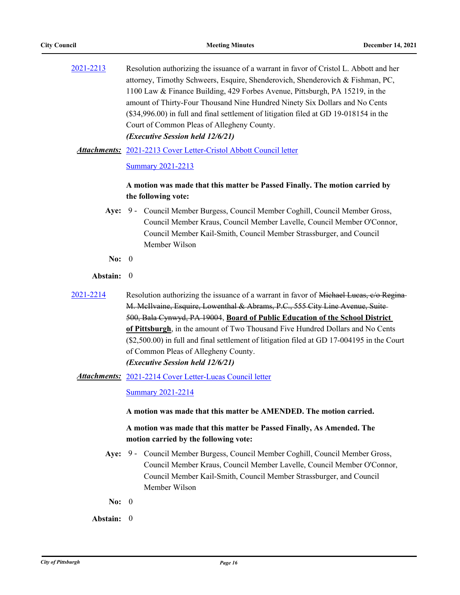| 2021-2213 | Resolution authorizing the issuance of a warrant in favor of Cristol L. Abbott and her  |
|-----------|-----------------------------------------------------------------------------------------|
|           | attorney, Timothy Schweers, Esquire, Shenderovich, Shenderovich & Fishman, PC,          |
|           | 1100 Law & Finance Building, 429 Forbes Avenue, Pittsburgh, PA 15219, in the            |
|           | amount of Thirty-Four Thousand Nine Hundred Ninety Six Dollars and No Cents             |
|           | $(\$34,996.00)$ in full and final settlement of litigation filed at GD 19-018154 in the |
|           | Court of Common Pleas of Allegheny County.                                              |
|           | (Executive Session held 12/6/21)                                                        |
|           |                                                                                         |

[2021-2213 Cover Letter-Cristol Abbott Council letter](http://pittsburgh.legistar.com/gateway.aspx?M=F&ID=6bf580a3-e35d-4af4-b489-96b16ce6775d.docx) *Attachments:*

[Summary 2021-2213](http://pittsburgh.legistar.com/gateway.aspx?M=F&ID=8ef4b6bd-abce-4470-ba09-aa472d82849b.docx)

### **A motion was made that this matter be Passed Finally. The motion carried by the following vote:**

- Aye: 9 Council Member Burgess, Council Member Coghill, Council Member Gross, Council Member Kraus, Council Member Lavelle, Council Member O'Connor, Council Member Kail-Smith, Council Member Strassburger, and Council Member Wilson
- **No:** 0

#### **Abstain:** 0

- [2021-2214](http://pittsburgh.legistar.com/gateway.aspx?m=l&id=/matter.aspx?key=27116) Resolution authorizing the issuance of a warrant in favor of <del>Michael Lucas, c/o Regina</del> M. McIlvaine, Esquire, Lowenthal & Abrams, P.C., 555 City Line Avenue, Suite 500, Bala Cynwyd, PA 19004, **Board of Public Education of the School District of Pittsburgh**, in the amount of Two Thousand Five Hundred Dollars and No Cents (\$2,500.00) in full and final settlement of litigation filed at GD 17-004195 in the Court of Common Pleas of Allegheny County. *(Executive Session held 12/6/21)*
	- [2021-2214 Cover Letter-Lucas Council letter](http://pittsburgh.legistar.com/gateway.aspx?M=F&ID=bc5470a9-5fea-4e59-9b2b-870451910a0e.docx) *Attachments:*

[Summary 2021-2214](http://pittsburgh.legistar.com/gateway.aspx?M=F&ID=fdddb730-9636-4953-a1d1-5656558b128f.docx)

#### **A motion was made that this matter be AMENDED. The motion carried.**

**A motion was made that this matter be Passed Finally, As Amended. The motion carried by the following vote:**

- Aye: 9 Council Member Burgess, Council Member Coghill, Council Member Gross, Council Member Kraus, Council Member Lavelle, Council Member O'Connor, Council Member Kail-Smith, Council Member Strassburger, and Council Member Wilson
- **No:** 0
- **Abstain:** 0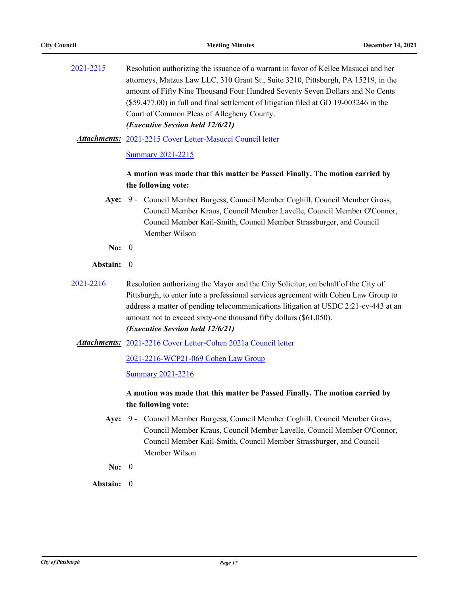[2021-2215](http://pittsburgh.legistar.com/gateway.aspx?m=l&id=/matter.aspx?key=27117) Resolution authorizing the issuance of a warrant in favor of Kellee Masucci and her attorneys, Matzus Law LLC, 310 Grant St., Suite 3210, Pittsburgh, PA 15219, in the amount of Fifty Nine Thousand Four Hundred Seventy Seven Dollars and No Cents (\$59,477.00) in full and final settlement of litigation filed at GD 19-003246 in the Court of Common Pleas of Allegheny County. *(Executive Session held 12/6/21)*

[2021-2215 Cover Letter-Masucci Council letter](http://pittsburgh.legistar.com/gateway.aspx?M=F&ID=26d636d5-c50c-40e9-94f8-f017a0bf7344.docx) *Attachments:*

[Summary 2021-2215](http://pittsburgh.legistar.com/gateway.aspx?M=F&ID=69773f59-ed36-4ec5-bdab-dfa30f5a0432.docx)

### **A motion was made that this matter be Passed Finally. The motion carried by the following vote:**

- Aye: 9 Council Member Burgess, Council Member Coghill, Council Member Gross, Council Member Kraus, Council Member Lavelle, Council Member O'Connor, Council Member Kail-Smith, Council Member Strassburger, and Council Member Wilson
- **No:** 0

#### **Abstain:** 0

- [2021-2216](http://pittsburgh.legistar.com/gateway.aspx?m=l&id=/matter.aspx?key=27118) Resolution authorizing the Mayor and the City Solicitor, on behalf of the City of Pittsburgh, to enter into a professional services agreement with Cohen Law Group to address a matter of pending telecommunications litigation at USDC 2:21-cv-443 at an amount not to exceed sixty-one thousand fifty dollars (\$61,050). *(Executive Session held 12/6/21)*
	- Attachments: [2021-2216 Cover Letter-Cohen 2021a Council letter](http://pittsburgh.legistar.com/gateway.aspx?M=F&ID=a2965b7b-ff5c-48fc-8252-9a94ffbb9a20.docx)

[2021-2216-WCP21-069 Cohen Law Group](http://pittsburgh.legistar.com/gateway.aspx?M=F&ID=a27a59d8-76b3-4f0a-865e-1b0eedd91641.pdf)

[Summary 2021-2216](http://pittsburgh.legistar.com/gateway.aspx?M=F&ID=2d16fe3b-a8e4-4df7-88ac-475e244c0d2a.docx)

### **A motion was made that this matter be Passed Finally. The motion carried by the following vote:**

- Aye: 9 Council Member Burgess, Council Member Coghill, Council Member Gross, Council Member Kraus, Council Member Lavelle, Council Member O'Connor, Council Member Kail-Smith, Council Member Strassburger, and Council Member Wilson
- **No:** 0

**Abstain:** 0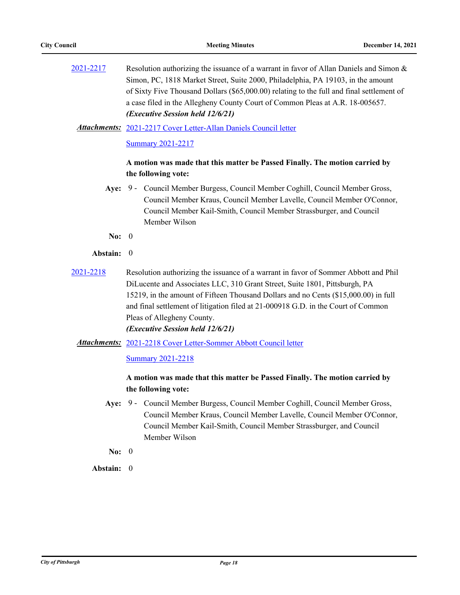[2021-2217](http://pittsburgh.legistar.com/gateway.aspx?m=l&id=/matter.aspx?key=27119) Resolution authorizing the issuance of a warrant in favor of Allan Daniels and Simon & Simon, PC, 1818 Market Street, Suite 2000, Philadelphia, PA 19103, in the amount of Sixty Five Thousand Dollars (\$65,000.00) relating to the full and final settlement of a case filed in the Allegheny County Court of Common Pleas at A.R. 18-005657. *(Executive Session held 12/6/21)*

[2021-2217 Cover Letter-Allan Daniels Council letter](http://pittsburgh.legistar.com/gateway.aspx?M=F&ID=4d064165-4968-4754-a8b7-75242fd3fcd8.docx) *Attachments:*

[Summary 2021-2217](http://pittsburgh.legistar.com/gateway.aspx?M=F&ID=a7f16527-2075-47b5-a143-a27748ecbaca.docx)

### **A motion was made that this matter be Passed Finally. The motion carried by the following vote:**

- Aye: 9 Council Member Burgess, Council Member Coghill, Council Member Gross, Council Member Kraus, Council Member Lavelle, Council Member O'Connor, Council Member Kail-Smith, Council Member Strassburger, and Council Member Wilson
- **No:** 0
- **Abstain:** 0
- [2021-2218](http://pittsburgh.legistar.com/gateway.aspx?m=l&id=/matter.aspx?key=27120) Resolution authorizing the issuance of a warrant in favor of Sommer Abbott and Phil DiLucente and Associates LLC, 310 Grant Street, Suite 1801, Pittsburgh, PA 15219, in the amount of Fifteen Thousand Dollars and no Cents (\$15,000.00) in full and final settlement of litigation filed at 21-000918 G.D. in the Court of Common Pleas of Allegheny County.

# *(Executive Session held 12/6/21)*

Attachments: [2021-2218 Cover Letter-Sommer Abbott Council letter](http://pittsburgh.legistar.com/gateway.aspx?M=F&ID=58f3b138-b9b9-4a1c-aed2-9c6e8dd464d2.docx)

[Summary 2021-2218](http://pittsburgh.legistar.com/gateway.aspx?M=F&ID=db4f927f-948d-486e-876f-5733e9e12fb2.docx)

### **A motion was made that this matter be Passed Finally. The motion carried by the following vote:**

Aye: 9 - Council Member Burgess, Council Member Coghill, Council Member Gross, Council Member Kraus, Council Member Lavelle, Council Member O'Connor, Council Member Kail-Smith, Council Member Strassburger, and Council Member Wilson

**No:** 0

**Abstain:** 0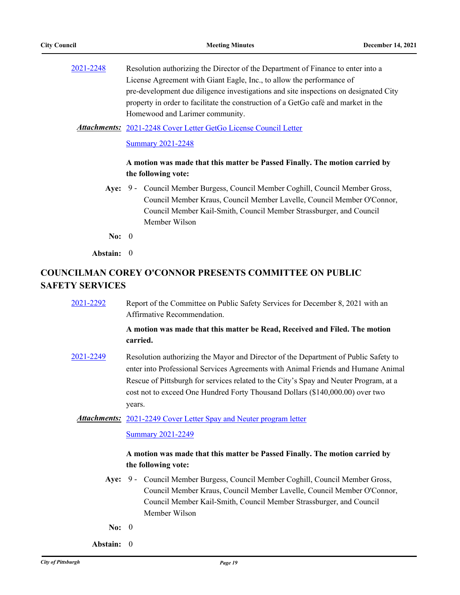[2021-2248](http://pittsburgh.legistar.com/gateway.aspx?m=l&id=/matter.aspx?key=27150) Resolution authorizing the Director of the Department of Finance to enter into a License Agreement with Giant Eagle, Inc., to allow the performance of pre-development due diligence investigations and site inspections on designated City property in order to facilitate the construction of a GetGo café and market in the Homewood and Larimer community.

#### [2021-2248 Cover Letter GetGo License Council Letter](http://pittsburgh.legistar.com/gateway.aspx?M=F&ID=b572b28c-8d25-43ec-8719-42b08823cea6.docx) *Attachments:*

[Summary 2021-2248](http://pittsburgh.legistar.com/gateway.aspx?M=F&ID=a8acdebd-30a9-42d1-b784-aebed8d87a63.docx)

#### **A motion was made that this matter be Passed Finally. The motion carried by the following vote:**

Aye: 9 - Council Member Burgess, Council Member Coghill, Council Member Gross, Council Member Kraus, Council Member Lavelle, Council Member O'Connor, Council Member Kail-Smith, Council Member Strassburger, and Council Member Wilson

**No:** 0

**Abstain:** 0

# **COUNCILMAN COREY O'CONNOR PRESENTS COMMITTEE ON PUBLIC SAFETY SERVICES**

[2021-2292](http://pittsburgh.legistar.com/gateway.aspx?m=l&id=/matter.aspx?key=27195) Report of the Committee on Public Safety Services for December 8, 2021 with an Affirmative Recommendation.

### **A motion was made that this matter be Read, Received and Filed. The motion carried.**

[2021-2249](http://pittsburgh.legistar.com/gateway.aspx?m=l&id=/matter.aspx?key=27151) Resolution authorizing the Mayor and Director of the Department of Public Safety to enter into Professional Services Agreements with Animal Friends and Humane Animal Rescue of Pittsburgh for services related to the City's Spay and Neuter Program, at a cost not to exceed One Hundred Forty Thousand Dollars (\$140,000.00) over two years.

#### Attachments: [2021-2249 Cover Letter Spay and Neuter program letter](http://pittsburgh.legistar.com/gateway.aspx?M=F&ID=0093a5dc-37ed-4af8-bb1e-d4112332c94e.pdf)

#### [Summary 2021-2249](http://pittsburgh.legistar.com/gateway.aspx?M=F&ID=64d4b4db-bc0c-4673-8129-7b7d308d42be.docx)

### **A motion was made that this matter be Passed Finally. The motion carried by the following vote:**

- Aye: 9 Council Member Burgess, Council Member Coghill, Council Member Gross, Council Member Kraus, Council Member Lavelle, Council Member O'Connor, Council Member Kail-Smith, Council Member Strassburger, and Council Member Wilson
- **No:** 0
- **Abstain:** 0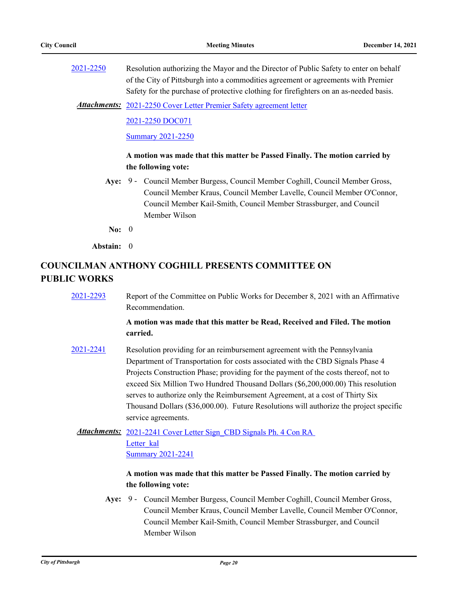[2021-2250](http://pittsburgh.legistar.com/gateway.aspx?m=l&id=/matter.aspx?key=27152) Resolution authorizing the Mayor and the Director of Public Safety to enter on behalf of the City of Pittsburgh into a commodities agreement or agreements with Premier Safety for the purchase of protective clothing for firefighters on an as-needed basis.

Attachments: [2021-2250 Cover Letter Premier Safety agreement letter](http://pittsburgh.legistar.com/gateway.aspx?M=F&ID=8d05d406-b4fb-462f-9005-9c4a9f58d866.pdf)

[2021-2250 DOC071](http://pittsburgh.legistar.com/gateway.aspx?M=F&ID=01f88a42-c4f4-4705-96f6-cbe09cced52d.pdf)

[Summary 2021-2250](http://pittsburgh.legistar.com/gateway.aspx?M=F&ID=9ffa28bb-45a3-4abe-b6b4-28d35c71ea18.docx)

### **A motion was made that this matter be Passed Finally. The motion carried by the following vote:**

Aye: 9 - Council Member Burgess, Council Member Coghill, Council Member Gross, Council Member Kraus, Council Member Lavelle, Council Member O'Connor, Council Member Kail-Smith, Council Member Strassburger, and Council Member Wilson

**No:** 0

**Abstain:** 0

## **COUNCILMAN ANTHONY COGHILL PRESENTS COMMITTEE ON PUBLIC WORKS**

[2021-2293](http://pittsburgh.legistar.com/gateway.aspx?m=l&id=/matter.aspx?key=27196) Report of the Committee on Public Works for December 8, 2021 with an Affirmative Recommendation.

### **A motion was made that this matter be Read, Received and Filed. The motion carried.**

[2021-2241](http://pittsburgh.legistar.com/gateway.aspx?m=l&id=/matter.aspx?key=27143) Resolution providing for an reimbursement agreement with the Pennsylvania Department of Transportation for costs associated with the CBD Signals Phase 4 Projects Construction Phase; providing for the payment of the costs thereof, not to exceed Six Million Two Hundred Thousand Dollars (\$6,200,000.00) This resolution serves to authorize only the Reimbursement Agreement, at a cost of Thirty Six Thousand Dollars (\$36,000.00). Future Resolutions will authorize the project specific service agreements.

Attachments: 2021-2241 Cover Letter Sign CBD Signals Ph. 4 Con RA Letter kal [Summary 2021-2241](http://pittsburgh.legistar.com/gateway.aspx?M=F&ID=3a99cf54-d620-4c67-8f75-70eddbf0fcb6.docx)

### **A motion was made that this matter be Passed Finally. The motion carried by the following vote:**

Aye: 9 - Council Member Burgess, Council Member Coghill, Council Member Gross, Council Member Kraus, Council Member Lavelle, Council Member O'Connor, Council Member Kail-Smith, Council Member Strassburger, and Council Member Wilson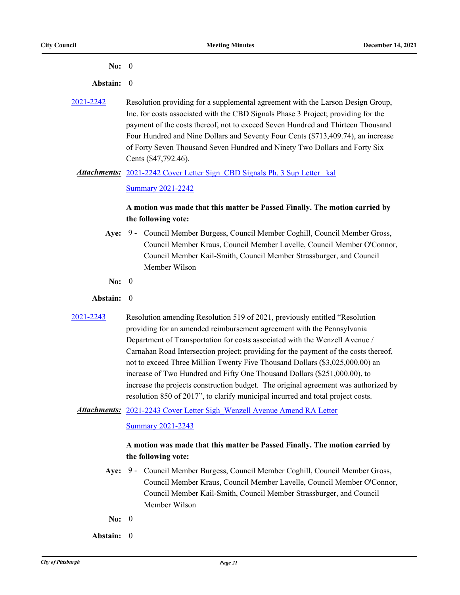#### **No:** 0

#### **Abstain:** 0

[2021-2242](http://pittsburgh.legistar.com/gateway.aspx?m=l&id=/matter.aspx?key=27144) Resolution providing for a supplemental agreement with the Larson Design Group, Inc. for costs associated with the CBD Signals Phase 3 Project; providing for the payment of the costs thereof, not to exceed Seven Hundred and Thirteen Thousand Four Hundred and Nine Dollars and Seventy Four Cents (\$713,409.74), an increase of Forty Seven Thousand Seven Hundred and Ninety Two Dollars and Forty Six Cents (\$47,792.46).

#### Attachments: 2021-2242 Cover Letter Sign\_CBD Signals Ph. 3 Sup Letter kal

[Summary 2021-2242](http://pittsburgh.legistar.com/gateway.aspx?M=F&ID=e86cbb46-74e0-466c-b750-611a2ff4893d.docx)

### **A motion was made that this matter be Passed Finally. The motion carried by the following vote:**

- Aye: 9 Council Member Burgess, Council Member Coghill, Council Member Gross, Council Member Kraus, Council Member Lavelle, Council Member O'Connor, Council Member Kail-Smith, Council Member Strassburger, and Council Member Wilson
- **No:** 0
- **Abstain:** 0
- [2021-2243](http://pittsburgh.legistar.com/gateway.aspx?m=l&id=/matter.aspx?key=27145) Resolution amending Resolution 519 of 2021, previously entitled "Resolution providing for an amended reimbursement agreement with the Pennsylvania Department of Transportation for costs associated with the Wenzell Avenue / Carnahan Road Intersection project; providing for the payment of the costs thereof, not to exceed Three Million Twenty Five Thousand Dollars (\$3,025,000.00) an increase of Two Hundred and Fifty One Thousand Dollars (\$251,000.00), to increase the projects construction budget. The original agreement was authorized by resolution 850 of 2017", to clarify municipal incurred and total project costs.

#### Attachments: 2021-2243 Cover Letter Sigh Wenzell Avenue Amend RA Letter

#### [Summary 2021-2243](http://pittsburgh.legistar.com/gateway.aspx?M=F&ID=b3130ce4-bc8d-42a9-8a1c-b322b1a230a4.docx)

### **A motion was made that this matter be Passed Finally. The motion carried by the following vote:**

- Aye: 9 Council Member Burgess, Council Member Coghill, Council Member Gross, Council Member Kraus, Council Member Lavelle, Council Member O'Connor, Council Member Kail-Smith, Council Member Strassburger, and Council Member Wilson
- **No:** 0
- **Abstain:** 0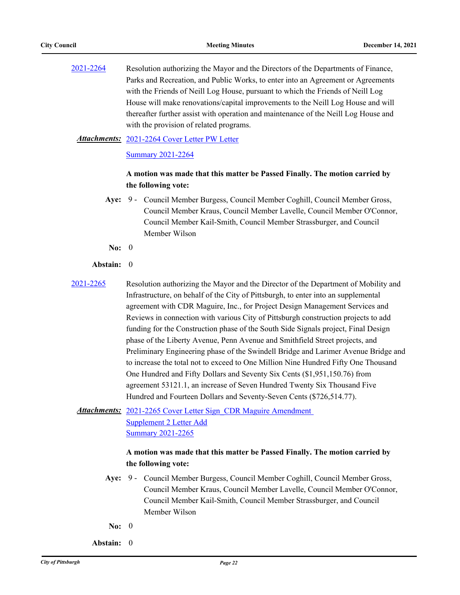[2021-2264](http://pittsburgh.legistar.com/gateway.aspx?m=l&id=/matter.aspx?key=27166) Resolution authorizing the Mayor and the Directors of the Departments of Finance, Parks and Recreation, and Public Works, to enter into an Agreement or Agreements with the Friends of Neill Log House, pursuant to which the Friends of Neill Log House will make renovations/capital improvements to the Neill Log House and will thereafter further assist with operation and maintenance of the Neill Log House and with the provision of related programs.

#### [2021-2264 Cover Letter PW Letter](http://pittsburgh.legistar.com/gateway.aspx?M=F&ID=e5a16621-031a-4be5-9cdd-8798cc579a18.PDF) *Attachments:*

[Summary 2021-2264](http://pittsburgh.legistar.com/gateway.aspx?M=F&ID=63d6d4b1-119c-43bb-8ced-efaffe763def.docx)

#### **A motion was made that this matter be Passed Finally. The motion carried by the following vote:**

- Aye: 9 Council Member Burgess, Council Member Coghill, Council Member Gross, Council Member Kraus, Council Member Lavelle, Council Member O'Connor, Council Member Kail-Smith, Council Member Strassburger, and Council Member Wilson
	- **No:** 0

#### **Abstain:** 0

[2021-2265](http://pittsburgh.legistar.com/gateway.aspx?m=l&id=/matter.aspx?key=27167) Resolution authorizing the Mayor and the Director of the Department of Mobility and Infrastructure, on behalf of the City of Pittsburgh, to enter into an supplemental agreement with CDR Maguire, Inc., for Project Design Management Services and Reviews in connection with various City of Pittsburgh construction projects to add funding for the Construction phase of the South Side Signals project, Final Design phase of the Liberty Avenue, Penn Avenue and Smithfield Street projects, and Preliminary Engineering phase of the Swindell Bridge and Larimer Avenue Bridge and to increase the total not to exceed to One Million Nine Hundred Fifty One Thousand One Hundred and Fifty Dollars and Seventy Six Cents (\$1,951,150.76) from agreement 53121.1, an increase of Seven Hundred Twenty Six Thousand Five Hundred and Fourteen Dollars and Seventy-Seven Cents (\$726,514.77).

Attachments: 2021-2265 Cover Letter Sign CDR Maguire Amendment Supplement 2 Letter Add [Summary 2021-2265](http://pittsburgh.legistar.com/gateway.aspx?M=F&ID=00316ea2-9240-4b2b-b0e3-f7b13005edc5.docx)

### **A motion was made that this matter be Passed Finally. The motion carried by the following vote:**

- Aye: 9 Council Member Burgess, Council Member Coghill, Council Member Gross, Council Member Kraus, Council Member Lavelle, Council Member O'Connor, Council Member Kail-Smith, Council Member Strassburger, and Council Member Wilson
- **No:** 0
- **Abstain:** 0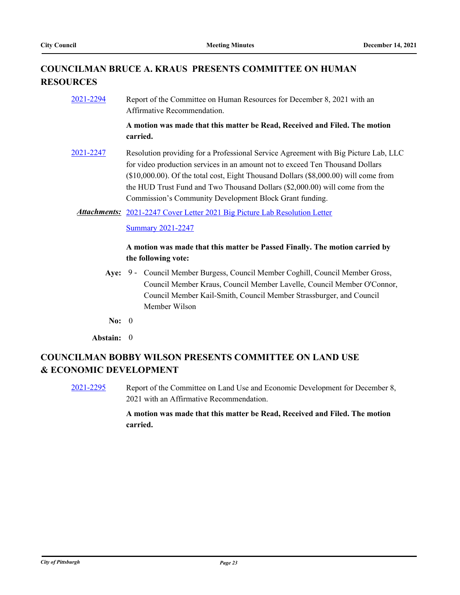# **COUNCILMAN BRUCE A. KRAUS PRESENTS COMMITTEE ON HUMAN RESOURCES**

[2021-2294](http://pittsburgh.legistar.com/gateway.aspx?m=l&id=/matter.aspx?key=27197) Report of the Committee on Human Resources for December 8, 2021 with an Affirmative Recommendation.

> **A motion was made that this matter be Read, Received and Filed. The motion carried.**

- [2021-2247](http://pittsburgh.legistar.com/gateway.aspx?m=l&id=/matter.aspx?key=27149) Resolution providing for a Professional Service Agreement with Big Picture Lab, LLC for video production services in an amount not to exceed Ten Thousand Dollars (\$10,000.00). Of the total cost, Eight Thousand Dollars (\$8,000.00) will come from the HUD Trust Fund and Two Thousand Dollars (\$2,000.00) will come from the Commission's Community Development Block Grant funding.
	- Attachments: [2021-2247 Cover Letter 2021 Big Picture Lab Resolution Letter](http://pittsburgh.legistar.com/gateway.aspx?M=F&ID=e6d3729b-b27b-4659-8bac-00932b9c02b1.doc)

[Summary 2021-2247](http://pittsburgh.legistar.com/gateway.aspx?M=F&ID=bac959bc-e605-4d0e-83db-804609b5c70b.docx)

### **A motion was made that this matter be Passed Finally. The motion carried by the following vote:**

- Aye: 9 Council Member Burgess, Council Member Coghill, Council Member Gross, Council Member Kraus, Council Member Lavelle, Council Member O'Connor, Council Member Kail-Smith, Council Member Strassburger, and Council Member Wilson
- **No:** 0

**Abstain:** 0

# **COUNCILMAN BOBBY WILSON PRESENTS COMMITTEE ON LAND USE & ECONOMIC DEVELOPMENT**

[2021-2295](http://pittsburgh.legistar.com/gateway.aspx?m=l&id=/matter.aspx?key=27198) Report of the Committee on Land Use and Economic Development for December 8, 2021 with an Affirmative Recommendation.

### **A motion was made that this matter be Read, Received and Filed. The motion carried.**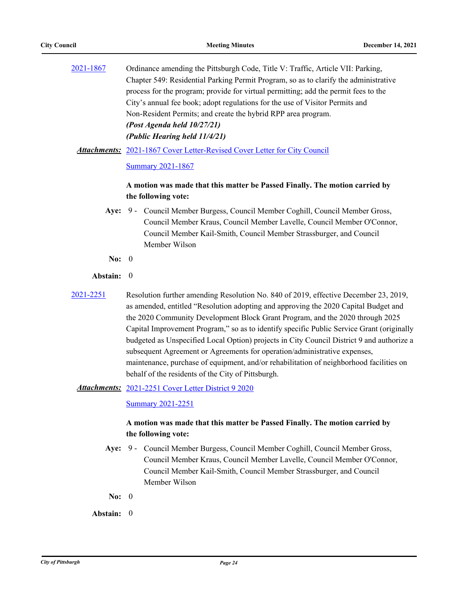[2021-1867](http://pittsburgh.legistar.com/gateway.aspx?m=l&id=/matter.aspx?key=26737) Ordinance amending the Pittsburgh Code, Title V: Traffic, Article VII: Parking, Chapter 549: Residential Parking Permit Program, so as to clarify the administrative process for the program; provide for virtual permitting; add the permit fees to the City's annual fee book; adopt regulations for the use of Visitor Permits and Non-Resident Permits; and create the hybrid RPP area program. *(Post Agenda held 10/27/21) (Public Hearing held 11/4/21)*

Attachments: [2021-1867 Cover Letter-Revised Cover Letter for City Council](http://pittsburgh.legistar.com/gateway.aspx?M=F&ID=e5ebc061-e02f-4a11-a98f-e21f16e1fb0a.docx)

[Summary 2021-1867](http://pittsburgh.legistar.com/gateway.aspx?M=F&ID=6b56a2a2-45b9-4098-affa-ed66cdd9661c.docx)

### **A motion was made that this matter be Passed Finally. The motion carried by the following vote:**

- Aye: 9 Council Member Burgess, Council Member Coghill, Council Member Gross, Council Member Kraus, Council Member Lavelle, Council Member O'Connor, Council Member Kail-Smith, Council Member Strassburger, and Council Member Wilson
- **No:** 0

#### **Abstain:** 0

[2021-2251](http://pittsburgh.legistar.com/gateway.aspx?m=l&id=/matter.aspx?key=27153) Resolution further amending Resolution No. 840 of 2019, effective December 23, 2019, as amended, entitled "Resolution adopting and approving the 2020 Capital Budget and the 2020 Community Development Block Grant Program, and the 2020 through 2025 Capital Improvement Program," so as to identify specific Public Service Grant (originally budgeted as Unspecified Local Option) projects in City Council District 9 and authorize a subsequent Agreement or Agreements for operation/administrative expenses, maintenance, purchase of equipment, and/or rehabilitation of neighborhood facilities on behalf of the residents of the City of Pittsburgh.

Attachments: [2021-2251 Cover Letter District 9 2020](http://pittsburgh.legistar.com/gateway.aspx?M=F&ID=5183da28-b72d-4e70-b63d-59fc593be319.docx)

[Summary 2021-2251](http://pittsburgh.legistar.com/gateway.aspx?M=F&ID=562a11f4-3386-4a35-9328-b6b46f533ba2.docx)

### **A motion was made that this matter be Passed Finally. The motion carried by the following vote:**

- Aye: 9 Council Member Burgess, Council Member Coghill, Council Member Gross, Council Member Kraus, Council Member Lavelle, Council Member O'Connor, Council Member Kail-Smith, Council Member Strassburger, and Council Member Wilson
- **No:** 0

**Abstain:** 0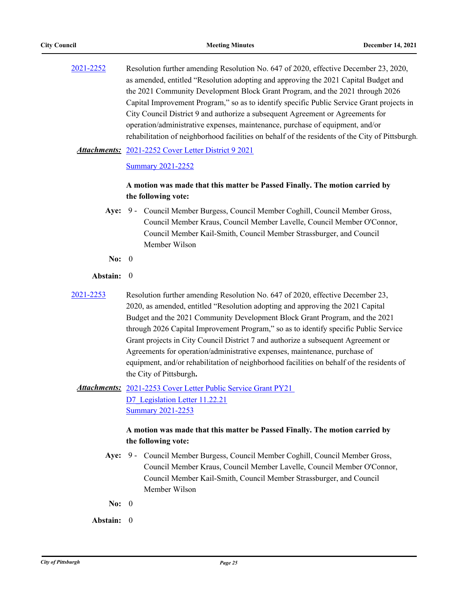[2021-2252](http://pittsburgh.legistar.com/gateway.aspx?m=l&id=/matter.aspx?key=27154) Resolution further amending Resolution No. 647 of 2020, effective December 23, 2020, as amended, entitled "Resolution adopting and approving the 2021 Capital Budget and the 2021 Community Development Block Grant Program, and the 2021 through 2026 Capital Improvement Program," so as to identify specific Public Service Grant projects in City Council District 9 and authorize a subsequent Agreement or Agreements for operation/administrative expenses, maintenance, purchase of equipment, and/or rehabilitation of neighborhood facilities on behalf of the residents of the City of Pittsburgh.

#### Attachments: [2021-2252 Cover Letter District 9 2021](http://pittsburgh.legistar.com/gateway.aspx?M=F&ID=681f5dca-35fc-478b-a4d2-e76826ba9ecc.docx)

#### [Summary 2021-2252](http://pittsburgh.legistar.com/gateway.aspx?M=F&ID=8e8b9fe8-80d4-443b-9a45-cb9da90bb786.docx)

### **A motion was made that this matter be Passed Finally. The motion carried by the following vote:**

- Aye: 9 Council Member Burgess, Council Member Coghill, Council Member Gross, Council Member Kraus, Council Member Lavelle, Council Member O'Connor, Council Member Kail-Smith, Council Member Strassburger, and Council Member Wilson
- **No:** 0

#### **Abstain:** 0

- [2021-2253](http://pittsburgh.legistar.com/gateway.aspx?m=l&id=/matter.aspx?key=27155) Resolution further amending Resolution No. 647 of 2020, effective December 23, 2020, as amended, entitled "Resolution adopting and approving the 2021 Capital Budget and the 2021 Community Development Block Grant Program, and the 2021 through 2026 Capital Improvement Program," so as to identify specific Public Service Grant projects in City Council District 7 and authorize a subsequent Agreement or Agreements for operation/administrative expenses, maintenance, purchase of equipment, and/or rehabilitation of neighborhood facilities on behalf of the residents of the City of Pittsburgh**.**
	- Attachments: 2021-2253 Cover Letter Public Service Grant PY21 D7 Legislation Letter 11.22.21 [Summary 2021-2253](http://pittsburgh.legistar.com/gateway.aspx?M=F&ID=ba35d1e4-eb37-40ac-a116-38c6158a41b7.docx)

### **A motion was made that this matter be Passed Finally. The motion carried by the following vote:**

- Aye: 9 Council Member Burgess, Council Member Coghill, Council Member Gross, Council Member Kraus, Council Member Lavelle, Council Member O'Connor, Council Member Kail-Smith, Council Member Strassburger, and Council Member Wilson
- **No:** 0
- **Abstain:** 0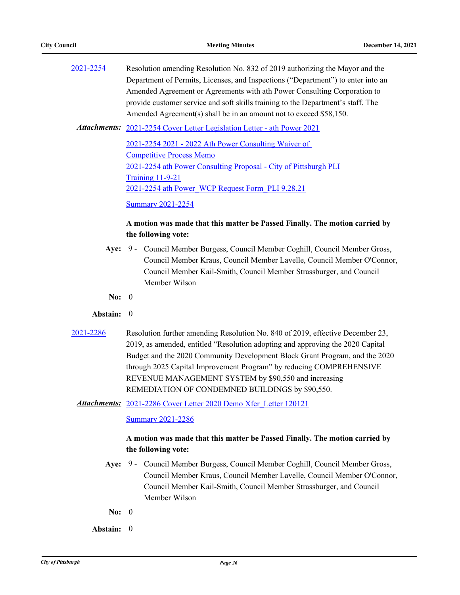[2021-2254](http://pittsburgh.legistar.com/gateway.aspx?m=l&id=/matter.aspx?key=27156) Resolution amending Resolution No. 832 of 2019 authorizing the Mayor and the Department of Permits, Licenses, and Inspections ("Department") to enter into an Amended Agreement or Agreements with ath Power Consulting Corporation to provide customer service and soft skills training to the Department's staff. The Amended Agreement(s) shall be in an amount not to exceed \$58,150.

Attachments: [2021-2254 Cover Letter Legislation Letter - ath Power 2021](http://pittsburgh.legistar.com/gateway.aspx?M=F&ID=82ab3602-458a-47ad-8214-89128aa8d0e3.docx)

[2021-2254 2021 - 2022 Ath Power Consulting Waiver of](http://pittsburgh.legistar.com/gateway.aspx?M=F&ID=6c087c5a-46c5-4b5e-9a46-024bcffdc539.pdf)  Competitive Process Memo [2021-2254 ath Power Consulting Proposal - City of Pittsburgh PLI](http://pittsburgh.legistar.com/gateway.aspx?M=F&ID=6f9cc280-33cb-4f0a-83b5-ab77c9cd0522.pdf)  Training 11-9-21 [2021-2254 ath Power\\_WCP Request Form\\_PLI 9.28.21](http://pittsburgh.legistar.com/gateway.aspx?M=F&ID=eefd8bef-62c8-4fbe-a0a4-b2064de17027.pdf)

[Summary 2021-2254](http://pittsburgh.legistar.com/gateway.aspx?M=F&ID=a32d6869-15a0-4097-b08f-437b24bbafd9.docx)

### **A motion was made that this matter be Passed Finally. The motion carried by the following vote:**

- Aye: 9 Council Member Burgess, Council Member Coghill, Council Member Gross, Council Member Kraus, Council Member Lavelle, Council Member O'Connor, Council Member Kail-Smith, Council Member Strassburger, and Council Member Wilson
- **No:** 0
- **Abstain:** 0
- [2021-2286](http://pittsburgh.legistar.com/gateway.aspx?m=l&id=/matter.aspx?key=27188) Resolution further amending Resolution No. 840 of 2019, effective December 23, 2019, as amended, entitled "Resolution adopting and approving the 2020 Capital Budget and the 2020 Community Development Block Grant Program, and the 2020 through 2025 Capital Improvement Program" by reducing COMPREHENSIVE REVENUE MANAGEMENT SYSTEM by \$90,550 and increasing REMEDIATION OF CONDEMNED BUILDINGS by \$90,550.
	- Attachments: 2021-2286 Cover Letter 2020 Demo Xfer Letter 120121

[Summary 2021-2286](http://pittsburgh.legistar.com/gateway.aspx?M=F&ID=fce435f6-19f1-4712-8511-a11d0cd8c0f2.docx)

### **A motion was made that this matter be Passed Finally. The motion carried by the following vote:**

- Aye: 9 Council Member Burgess, Council Member Coghill, Council Member Gross, Council Member Kraus, Council Member Lavelle, Council Member O'Connor, Council Member Kail-Smith, Council Member Strassburger, and Council Member Wilson
- **No:** 0

**Abstain:** 0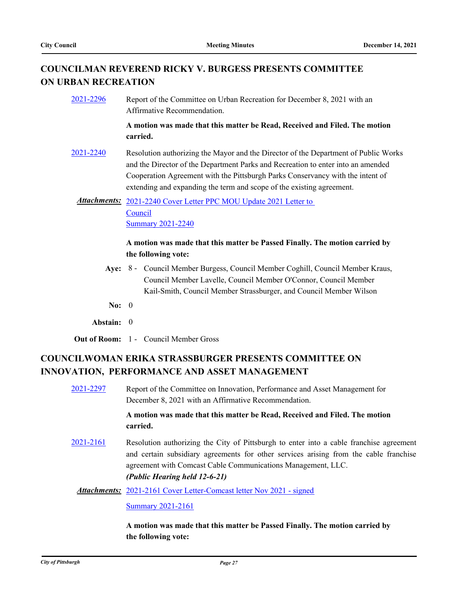# **COUNCILMAN REVEREND RICKY V. BURGESS PRESENTS COMMITTEE ON URBAN RECREATION**

[2021-2296](http://pittsburgh.legistar.com/gateway.aspx?m=l&id=/matter.aspx?key=27199) Report of the Committee on Urban Recreation for December 8, 2021 with an Affirmative Recommendation.

> **A motion was made that this matter be Read, Received and Filed. The motion carried.**

[2021-2240](http://pittsburgh.legistar.com/gateway.aspx?m=l&id=/matter.aspx?key=27142) Resolution authorizing the Mayor and the Director of the Department of Public Works and the Director of the Department Parks and Recreation to enter into an amended Cooperation Agreement with the Pittsburgh Parks Conservancy with the intent of extending and expanding the term and scope of the existing agreement.

Attachments: 2021-2240 Cover Letter PPC MOU Update 2021 Letter to Council [Summary 2021-2240](http://pittsburgh.legistar.com/gateway.aspx?M=F&ID=5d705ca5-cd3a-4ab6-988d-d9d7d6657b29.docx)

### **A motion was made that this matter be Passed Finally. The motion carried by the following vote:**

- Aye: 8 Council Member Burgess, Council Member Coghill, Council Member Kraus, Council Member Lavelle, Council Member O'Connor, Council Member Kail-Smith, Council Member Strassburger, and Council Member Wilson
- **No:** 0
- **Abstain:** 0
- **Out of Room:** 1 Council Member Gross

# **COUNCILWOMAN ERIKA STRASSBURGER PRESENTS COMMITTEE ON INNOVATION, PERFORMANCE AND ASSET MANAGEMENT**

[2021-2297](http://pittsburgh.legistar.com/gateway.aspx?m=l&id=/matter.aspx?key=27200) Report of the Committee on Innovation, Performance and Asset Management for December 8, 2021 with an Affirmative Recommendation. **A motion was made that this matter be Read, Received and Filed. The motion carried.** [2021-2161](http://pittsburgh.legistar.com/gateway.aspx?m=l&id=/matter.aspx?key=27054) Resolution authorizing the City of Pittsburgh to enter into a cable franchise agreement and certain subsidiary agreements for other services arising from the cable franchise agreement with Comcast Cable Communications Management, LLC. *(Public Hearing held 12-6-21)* Attachments: [2021-2161 Cover Letter-Comcast letter Nov 2021 - signed](http://pittsburgh.legistar.com/gateway.aspx?M=F&ID=75bf42e9-dfac-4f89-8082-90bd9a5185c5.pdf) [Summary 2021-2161](http://pittsburgh.legistar.com/gateway.aspx?M=F&ID=62666cae-8122-41cd-bf82-a18cc1b0d7a2.docx)

> **A motion was made that this matter be Passed Finally. The motion carried by the following vote:**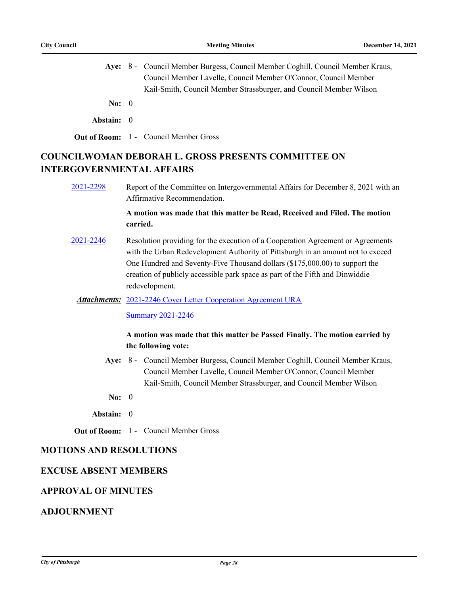|            | Aye: 8 - Council Member Burgess, Council Member Coghill, Council Member Kraus, |
|------------|--------------------------------------------------------------------------------|
|            | Council Member Lavelle, Council Member O'Connor, Council Member                |
|            | Kail-Smith, Council Member Strassburger, and Council Member Wilson             |
| No: $0$    |                                                                                |
| Abstain: 0 |                                                                                |
|            | <b>Out of Room:</b> 1 - Council Member Gross                                   |

# **COUNCILWOMAN DEBORAH L. GROSS PRESENTS COMMITTEE ON INTERGOVERNMENTAL AFFAIRS**

[2021-2298](http://pittsburgh.legistar.com/gateway.aspx?m=l&id=/matter.aspx?key=27201) Report of the Committee on Intergovernmental Affairs for December 8, 2021 with an Affirmative Recommendation.

### **A motion was made that this matter be Read, Received and Filed. The motion carried.**

[2021-2246](http://pittsburgh.legistar.com/gateway.aspx?m=l&id=/matter.aspx?key=27148) Resolution providing for the execution of a Cooperation Agreement or Agreements with the Urban Redevelopment Authority of Pittsburgh in an amount not to exceed One Hundred and Seventy-Five Thousand dollars (\$175,000.00) to support the creation of publicly accessible park space as part of the Fifth and Dinwiddie redevelopment.

#### Attachments: [2021-2246 Cover Letter Cooperation Agreement URA](http://pittsburgh.legistar.com/gateway.aspx?M=F&ID=f3b940d8-bbae-4f65-8c60-b54064b2256a.docx)

[Summary 2021-2246](http://pittsburgh.legistar.com/gateway.aspx?M=F&ID=99b21620-faaa-43ee-983e-d8387bd70648.docx)

### **A motion was made that this matter be Passed Finally. The motion carried by the following vote:**

- Aye: 8 Council Member Burgess, Council Member Coghill, Council Member Kraus, Council Member Lavelle, Council Member O'Connor, Council Member Kail-Smith, Council Member Strassburger, and Council Member Wilson
- **No:** 0
- **Abstain:** 0
- **Out of Room:** 1 Council Member Gross

## **MOTIONS AND RESOLUTIONS**

### **EXCUSE ABSENT MEMBERS**

### **APPROVAL OF MINUTES**

### **ADJOURNMENT**